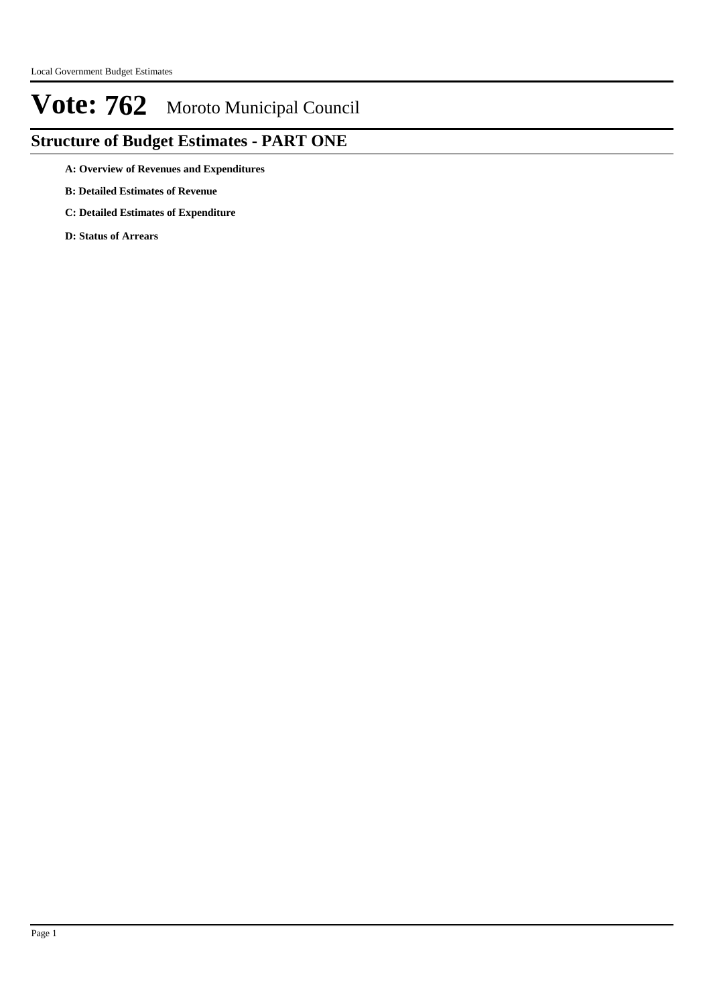## **Structure of Budget Estimates - PART ONE**

**A: Overview of Revenues and Expenditures**

- **B: Detailed Estimates of Revenue**
- **C: Detailed Estimates of Expenditure**

**D: Status of Arrears**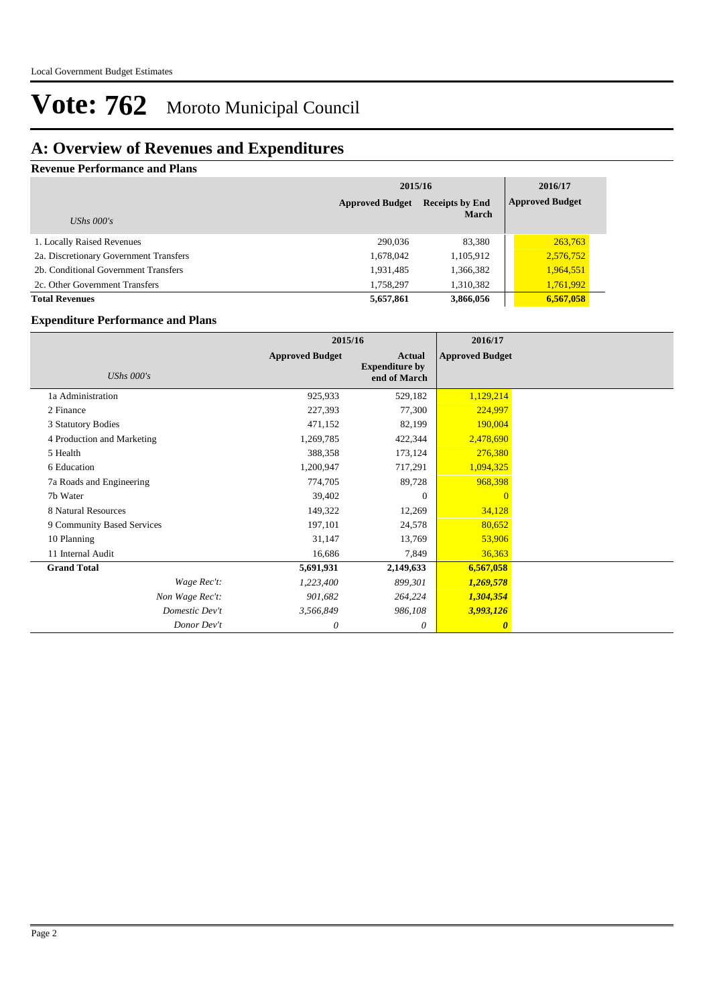## **A: Overview of Revenues and Expenditures**

**Revenue Performance and Plans**

|                                        | 2015/16                | 2016/17                                |                        |
|----------------------------------------|------------------------|----------------------------------------|------------------------|
| UShs $000's$                           | <b>Approved Budget</b> | <b>Receipts by End</b><br><b>March</b> | <b>Approved Budget</b> |
| 1. Locally Raised Revenues             | 290,036                | 83,380                                 | 263,763                |
| 2a. Discretionary Government Transfers | 1,678,042              | 1,105,912                              | 2,576,752              |
| 2b. Conditional Government Transfers   | 1,931,485              | 1,366,382                              | 1,964,551              |
| 2c. Other Government Transfers         | 1,758,297              | 1,310,382                              | 1,761,992              |
| <b>Total Revenues</b>                  | 5,657,861              | 3,866,056                              | 6,567,058              |

### **Expenditure Performance and Plans**

|                            | 2015/16                |                                                        | 2016/17                |  |
|----------------------------|------------------------|--------------------------------------------------------|------------------------|--|
| UShs $000's$               | <b>Approved Budget</b> | <b>Actual</b><br><b>Expenditure by</b><br>end of March | <b>Approved Budget</b> |  |
| 1a Administration          | 925,933                | 529,182                                                | 1,129,214              |  |
| 2 Finance                  | 227,393                | 77,300                                                 | 224,997                |  |
| 3 Statutory Bodies         | 471,152                | 82,199                                                 | 190,004                |  |
| 4 Production and Marketing | 1,269,785              | 422,344                                                | 2,478,690              |  |
| 5 Health                   | 388,358                | 173,124                                                | 276,380                |  |
| 6 Education                | 1,200,947              | 717,291                                                | 1,094,325              |  |
| 7a Roads and Engineering   | 774,705                | 89,728                                                 | 968,398                |  |
| 7b Water                   | 39,402                 | $\theta$                                               | $\overline{0}$         |  |
| 8 Natural Resources        | 149,322                | 12,269                                                 | 34,128                 |  |
| 9 Community Based Services | 197,101                | 24,578                                                 | 80,652                 |  |
| 10 Planning                | 31,147                 | 13,769                                                 | 53,906                 |  |
| 11 Internal Audit          | 16,686                 | 7,849                                                  | 36,363                 |  |
| <b>Grand Total</b>         | 5,691,931              | 2,149,633                                              | 6,567,058              |  |
| Wage Rec't:                | 1,223,400              | 899,301                                                | 1,269,578              |  |
| Non Wage Rec't:            | 901,682                | 264,224                                                | 1,304,354              |  |
| Domestic Dev't             | 3,566,849              | 986,108                                                | 3,993,126              |  |
| Donor Dev't                | 0                      | $\theta$                                               | $\boldsymbol{\theta}$  |  |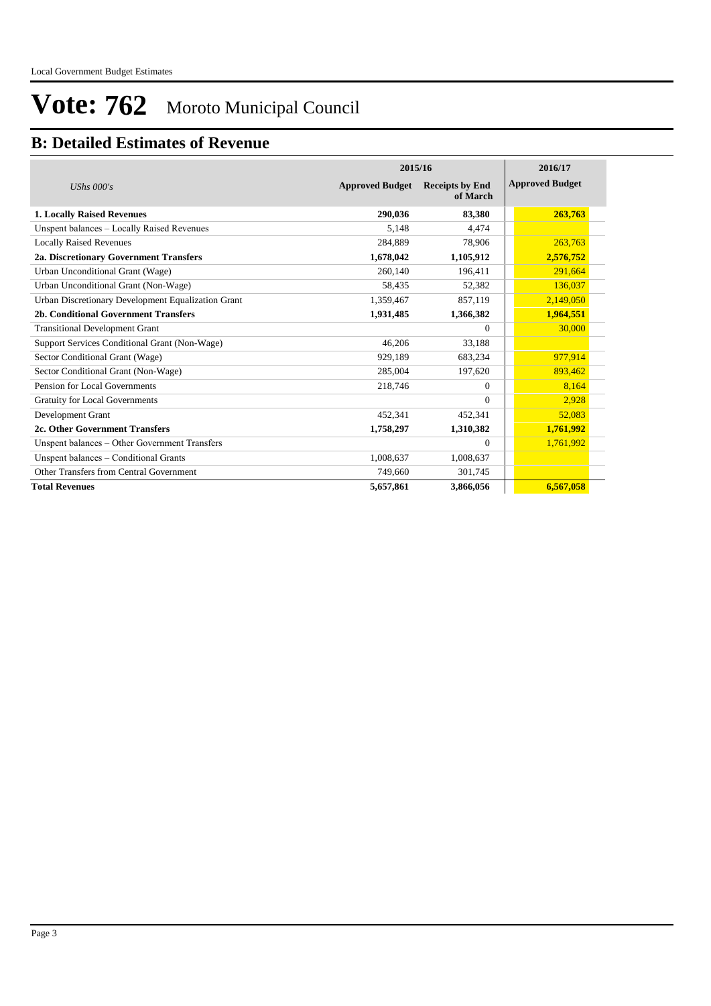### **B: Detailed Estimates of Revenue**

|                                                    | 2015/16                | 2016/17                            |                        |  |
|----------------------------------------------------|------------------------|------------------------------------|------------------------|--|
| UShs $000's$                                       | <b>Approved Budget</b> | <b>Receipts by End</b><br>of March | <b>Approved Budget</b> |  |
| <b>1. Locally Raised Revenues</b>                  | 290.036                | 83,380                             | 263,763                |  |
| Unspent balances - Locally Raised Revenues         | 5,148                  | 4,474                              |                        |  |
| <b>Locally Raised Revenues</b>                     | 284,889                | 78,906                             | 263,763                |  |
| 2a. Discretionary Government Transfers             | 1,678,042              | 1,105,912                          | 2,576,752              |  |
| Urban Unconditional Grant (Wage)                   | 260,140                | 196,411                            | 291,664                |  |
| Urban Unconditional Grant (Non-Wage)               | 58,435                 | 52,382                             | 136,037                |  |
| Urban Discretionary Development Equalization Grant | 1,359,467              | 857,119                            | 2,149,050              |  |
| 2b. Conditional Government Transfers               | 1,931,485              | 1,366,382                          | 1,964,551              |  |
| <b>Transitional Development Grant</b>              |                        | $\Omega$                           | 30,000                 |  |
| Support Services Conditional Grant (Non-Wage)      | 46.206                 | 33,188                             |                        |  |
| Sector Conditional Grant (Wage)                    | 929.189                | 683,234                            | 977,914                |  |
| Sector Conditional Grant (Non-Wage)                | 285,004                | 197,620                            | 893,462                |  |
| Pension for Local Governments                      | 218,746                | $\Omega$                           | 8,164                  |  |
| <b>Gratuity for Local Governments</b>              |                        | $\Omega$                           | 2,928                  |  |
| Development Grant                                  | 452,341                | 452,341                            | 52,083                 |  |
| 2c. Other Government Transfers                     | 1,758,297              | 1,310,382                          | 1,761,992              |  |
| Unspent balances - Other Government Transfers      |                        | $\mathbf{0}$                       | 1,761,992              |  |
| Unspent balances - Conditional Grants              | 1,008,637              | 1,008,637                          |                        |  |
| Other Transfers from Central Government            | 749,660                | 301,745                            |                        |  |
| <b>Total Revenues</b>                              | 5,657,861              | 3,866,056                          | 6,567,058              |  |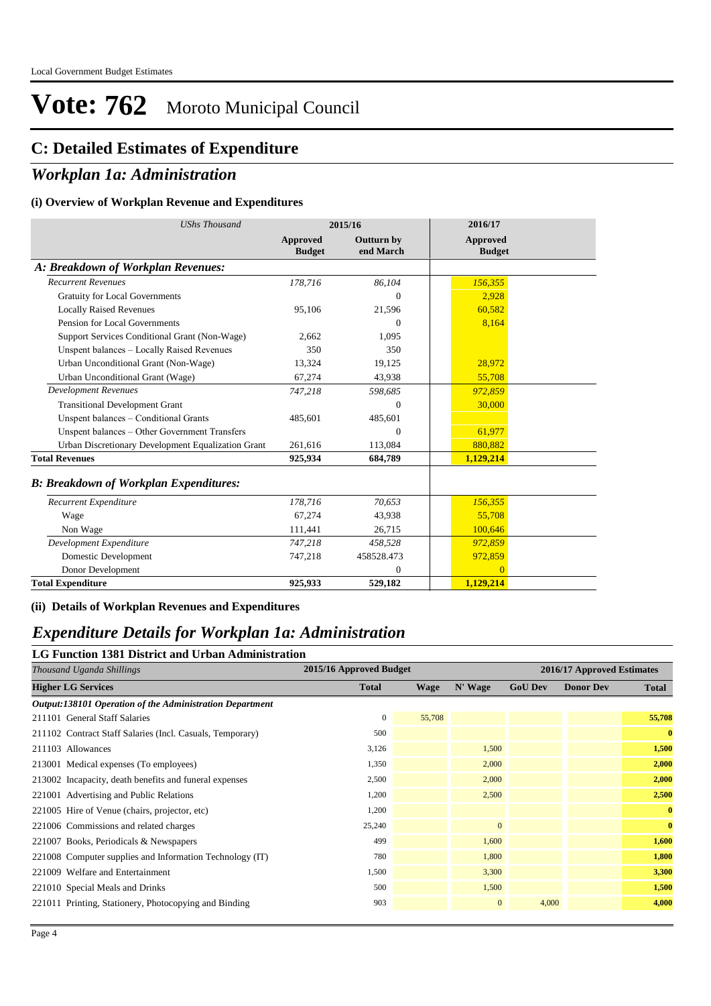### **C: Detailed Estimates of Expenditure**

### *Workplan 1a: Administration*

#### **(i) Overview of Workplan Revenue and Expenditures**

| <b>UShs Thousand</b>                               |                                  | 2015/16                        | 2016/17                   |  |
|----------------------------------------------------|----------------------------------|--------------------------------|---------------------------|--|
|                                                    | <b>Approved</b><br><b>Budget</b> | <b>Outturn by</b><br>end March | Approved<br><b>Budget</b> |  |
| A: Breakdown of Workplan Revenues:                 |                                  |                                |                           |  |
| <b>Recurrent Revenues</b>                          | 178,716                          | 86,104                         | 156,355                   |  |
| <b>Gratuity for Local Governments</b>              |                                  | $\Omega$                       | 2,928                     |  |
| <b>Locally Raised Revenues</b>                     | 95,106                           | 21,596                         | 60,582                    |  |
| Pension for Local Governments                      |                                  | $\Omega$                       | 8,164                     |  |
| Support Services Conditional Grant (Non-Wage)      | 2,662                            | 1,095                          |                           |  |
| Unspent balances - Locally Raised Revenues         | 350                              | 350                            |                           |  |
| Urban Unconditional Grant (Non-Wage)               | 13,324                           | 19,125                         | 28,972                    |  |
| Urban Unconditional Grant (Wage)                   | 67,274                           | 43,938                         | 55,708                    |  |
| <b>Development Revenues</b>                        | 747,218                          | 598,685                        | 972,859                   |  |
| <b>Transitional Development Grant</b>              |                                  | $\overline{0}$                 | 30,000                    |  |
| Unspent balances - Conditional Grants              | 485,601                          | 485,601                        |                           |  |
| Unspent balances - Other Government Transfers      |                                  | $\Omega$                       | 61,977                    |  |
| Urban Discretionary Development Equalization Grant | 261,616                          | 113,084                        | 880,882                   |  |
| <b>Total Revenues</b>                              | 925,934                          | 684,789                        | 1,129,214                 |  |
| <b>B: Breakdown of Workplan Expenditures:</b>      |                                  |                                |                           |  |
| Recurrent Expenditure                              | 178,716                          | 70,653                         | 156,355                   |  |
| Wage                                               | 67.274                           | 43,938                         | 55,708                    |  |
| Non Wage                                           | 111,441                          | 26,715                         | 100,646                   |  |
| Development Expenditure                            | 747,218                          | 458,528                        | 972,859                   |  |
| Domestic Development                               | 747,218                          | 458528.473                     | 972,859                   |  |
| Donor Development                                  |                                  | $\Omega$                       | $\Omega$                  |  |
| <b>Total Expenditure</b>                           | 925,933                          | 529,182                        | 1,129,214                 |  |

**(ii) Details of Workplan Revenues and Expenditures**

### *Expenditure Details for Workplan 1a: Administration*

### **LG Function 1381 District and Urban Administration**

| Thousand Uganda Shillings                                 | 2015/16 Approved Budget |             |              |                | 2016/17 Approved Estimates |              |
|-----------------------------------------------------------|-------------------------|-------------|--------------|----------------|----------------------------|--------------|
| <b>Higher LG Services</b>                                 | <b>Total</b>            | <b>Wage</b> | N' Wage      | <b>GoU Dev</b> | <b>Donor Dev</b>           | <b>Total</b> |
| Output:138101 Operation of the Administration Department  |                         |             |              |                |                            |              |
| 211101 General Staff Salaries                             | $\mathbf{0}$            | 55,708      |              |                |                            | 55,708       |
| 211102 Contract Staff Salaries (Incl. Casuals, Temporary) | 500                     |             |              |                |                            | $\mathbf{0}$ |
| 211103 Allowances                                         | 3,126                   |             | 1,500        |                |                            | 1,500        |
| 213001 Medical expenses (To employees)                    | 1,350                   |             | 2,000        |                |                            | 2,000        |
| 213002 Incapacity, death benefits and funeral expenses    | 2,500                   |             | 2,000        |                |                            | 2,000        |
| 221001 Advertising and Public Relations                   | 1,200                   |             | 2,500        |                |                            | 2,500        |
| 221005 Hire of Venue (chairs, projector, etc)             | 1,200                   |             |              |                |                            | $\mathbf{0}$ |
| 221006 Commissions and related charges                    | 25,240                  |             | $\mathbf{0}$ |                |                            | $\mathbf{0}$ |
| 221007 Books, Periodicals & Newspapers                    | 499                     |             | 1,600        |                |                            | 1,600        |
| 221008 Computer supplies and Information Technology (IT)  | 780                     |             | 1,800        |                |                            | 1,800        |
| 221009 Welfare and Entertainment                          | 1,500                   |             | 3,300        |                |                            | 3,300        |
| 221010 Special Meals and Drinks                           | 500                     |             | 1,500        |                |                            | 1,500        |
| 221011 Printing, Stationery, Photocopying and Binding     | 903                     |             | $\mathbf{0}$ | 4,000          |                            | 4,000        |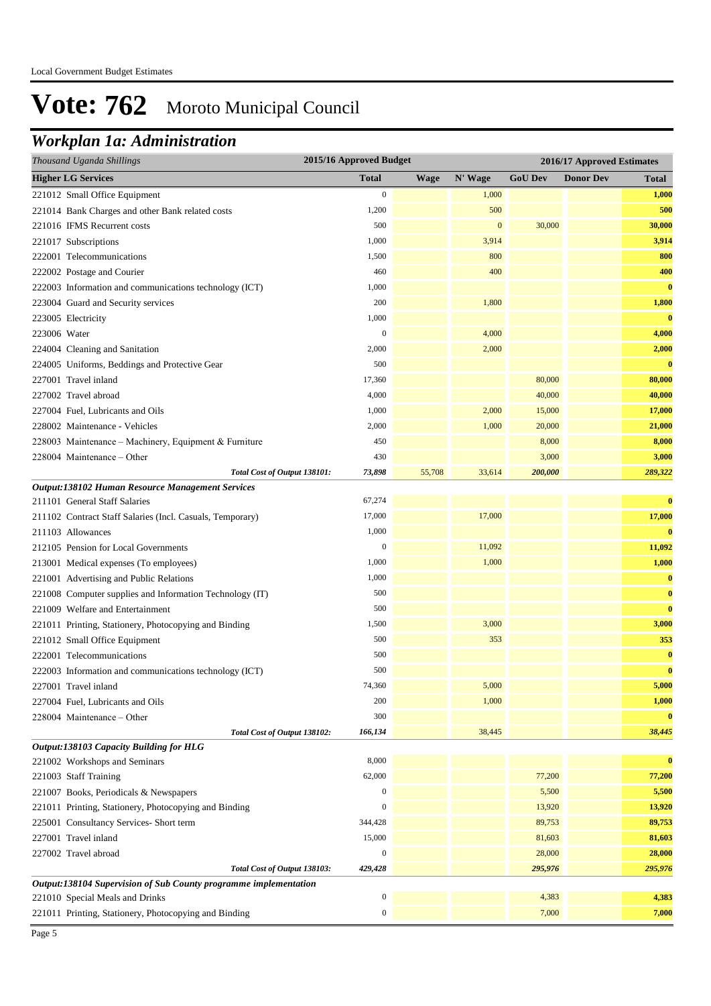## *Workplan 1a: Administration*

| Thousand Uganda Shillings                                        | 2015/16 Approved Budget |             |                  |                | 2016/17 Approved Estimates |          |
|------------------------------------------------------------------|-------------------------|-------------|------------------|----------------|----------------------------|----------|
| <b>Higher LG Services</b>                                        | <b>Total</b>            | <b>Wage</b> | N' Wage          | <b>GoU Dev</b> | <b>Donor Dev</b>           | Total    |
| 221012 Small Office Equipment                                    | $\boldsymbol{0}$        |             | 1,000            |                |                            | 1,000    |
| 221014 Bank Charges and other Bank related costs                 | 1,200                   |             | 500              |                |                            | 500      |
| 221016 IFMS Recurrent costs                                      | 500                     |             | $\boldsymbol{0}$ | 30,000         |                            | 30,000   |
| 221017 Subscriptions                                             | 1,000                   |             | 3,914            |                |                            | 3,914    |
| 222001 Telecommunications                                        | 1,500                   |             | 800              |                |                            | 800      |
| 222002 Postage and Courier                                       | 460                     |             | 400              |                |                            | 400      |
| 222003 Information and communications technology (ICT)           | 1,000                   |             |                  |                |                            | $\bf{0}$ |
| 223004 Guard and Security services                               | 200                     |             | 1,800            |                |                            | 1,800    |
| 223005 Electricity                                               | 1,000                   |             |                  |                |                            | $\bf{0}$ |
| 223006 Water                                                     | $\boldsymbol{0}$        |             | 4,000            |                |                            | 4,000    |
| 224004 Cleaning and Sanitation                                   | 2,000                   |             | 2,000            |                |                            | 2,000    |
| 224005 Uniforms, Beddings and Protective Gear                    | 500                     |             |                  |                |                            | $\bf{0}$ |
| 227001 Travel inland                                             | 17,360                  |             |                  | 80,000         |                            | 80,000   |
| 227002 Travel abroad                                             | 4,000                   |             |                  | 40,000         |                            | 40,000   |
| 227004 Fuel, Lubricants and Oils                                 | 1,000                   |             | 2,000            | 15,000         |                            | 17,000   |
| 228002 Maintenance - Vehicles                                    | 2,000                   |             | 1,000            | 20,000         |                            | 21,000   |
| 228003 Maintenance - Machinery, Equipment & Furniture            | 450                     |             |                  | 8,000          |                            | 8,000    |
| 228004 Maintenance - Other                                       | 430                     |             |                  | 3,000          |                            | 3,000    |
| Total Cost of Output 138101:                                     | 73,898                  | 55,708      | 33,614           | 200,000        |                            | 289,322  |
| Output:138102 Human Resource Management Services                 |                         |             |                  |                |                            |          |
| 211101 General Staff Salaries                                    | 67,274                  |             |                  |                |                            | $\bf{0}$ |
| 211102 Contract Staff Salaries (Incl. Casuals, Temporary)        | 17,000                  |             | 17,000           |                |                            | 17,000   |
| 211103 Allowances                                                | 1,000                   |             |                  |                |                            | $\bf{0}$ |
| 212105 Pension for Local Governments                             | $\boldsymbol{0}$        |             | 11,092           |                |                            | 11,092   |
| 213001 Medical expenses (To employees)                           | 1,000                   |             | 1,000            |                |                            | 1,000    |
| 221001 Advertising and Public Relations                          | 1,000                   |             |                  |                |                            | $\bf{0}$ |
| 221008 Computer supplies and Information Technology (IT)         | 500                     |             |                  |                |                            | $\bf{0}$ |
| 221009 Welfare and Entertainment                                 | 500                     |             |                  |                |                            | $\bf{0}$ |
| 221011 Printing, Stationery, Photocopying and Binding            | 1,500                   |             | 3,000            |                |                            | 3,000    |
| 221012 Small Office Equipment                                    | 500                     |             | 353              |                |                            | 353      |
| 222001 Telecommunications                                        | 500                     |             |                  |                |                            | $\bf{0}$ |
| 222003 Information and communications technology (ICT)           | 500                     |             |                  |                |                            | $\bf{0}$ |
| 227001 Travel inland                                             | 74,360                  |             | 5,000            |                |                            | 5,000    |
| 227004 Fuel, Lubricants and Oils                                 | 200                     |             | 1,000            |                |                            | 1,000    |
| 228004 Maintenance - Other                                       | 300                     |             |                  |                |                            | $\bf{0}$ |
| Total Cost of Output 138102:                                     | 166,134                 |             | 38,445           |                |                            | 38,445   |
| Output:138103 Capacity Building for HLG                          |                         |             |                  |                |                            |          |
| 221002 Workshops and Seminars                                    | 8,000                   |             |                  |                |                            | $\bf{0}$ |
| 221003 Staff Training                                            | 62,000                  |             |                  | 77,200         |                            | 77,200   |
| 221007 Books, Periodicals & Newspapers                           | $\boldsymbol{0}$        |             |                  | 5,500          |                            | 5,500    |
| 221011 Printing, Stationery, Photocopying and Binding            | $\boldsymbol{0}$        |             |                  | 13,920         |                            | 13,920   |
| 225001 Consultancy Services- Short term                          | 344,428                 |             |                  | 89,753         |                            | 89,753   |
| 227001 Travel inland                                             | 15,000                  |             |                  | 81,603         |                            | 81,603   |
| 227002 Travel abroad                                             | $\boldsymbol{0}$        |             |                  | 28,000         |                            | 28,000   |
| Total Cost of Output 138103:                                     | 429,428                 |             |                  | 295,976        |                            | 295,976  |
| Output:138104 Supervision of Sub County programme implementation |                         |             |                  |                |                            |          |
| 221010 Special Meals and Drinks                                  | 0                       |             |                  | 4,383          |                            | 4,383    |
| 221011 Printing, Stationery, Photocopying and Binding            | 0                       |             |                  | 7,000          |                            | 7,000    |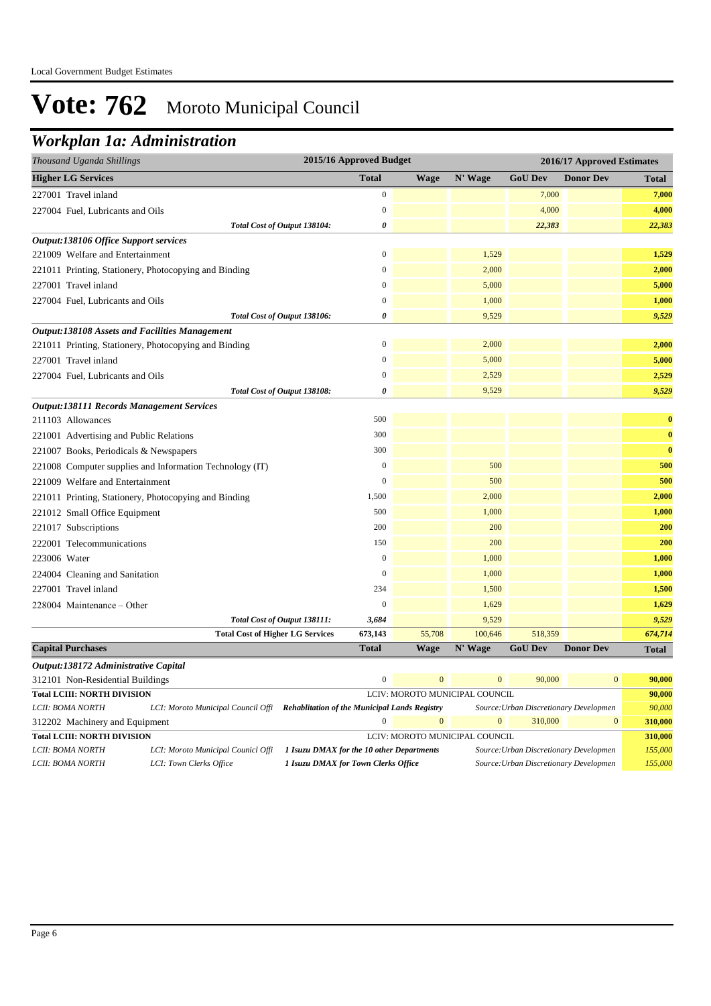## *Workplan 1a: Administration*

| Thousand Uganda Shillings                                                    | 2015/16 Approved Budget |             |         |                | 2016/17 Approved Estimates |              |
|------------------------------------------------------------------------------|-------------------------|-------------|---------|----------------|----------------------------|--------------|
| <b>Higher LG Services</b>                                                    | <b>Total</b>            | <b>Wage</b> | N' Wage | <b>GoU Dev</b> | <b>Donor Dev</b>           | Total        |
| 227001 Travel inland                                                         | $\boldsymbol{0}$        |             |         | 7,000          |                            | 7,000        |
| 227004 Fuel, Lubricants and Oils                                             | $\mathbf{0}$            |             |         | 4,000          |                            | 4,000        |
| Total Cost of Output 138104:                                                 | 0                       |             |         | 22,383         |                            | 22,383       |
| Output:138106 Office Support services                                        |                         |             |         |                |                            |              |
| 221009 Welfare and Entertainment                                             | $\mathbf{0}$            |             | 1,529   |                |                            | 1,529        |
| 221011 Printing, Stationery, Photocopying and Binding                        | $\mathbf{0}$            |             | 2,000   |                |                            | 2,000        |
| 227001 Travel inland                                                         | $\boldsymbol{0}$        |             | 5,000   |                |                            | 5,000        |
| 227004 Fuel, Lubricants and Oils                                             | $\mathbf{0}$            |             | 1,000   |                |                            | 1,000        |
| Total Cost of Output 138106:                                                 | 0                       |             | 9,529   |                |                            | 9,529        |
| <b>Output:138108 Assets and Facilities Management</b>                        |                         |             |         |                |                            |              |
| 221011 Printing, Stationery, Photocopying and Binding                        | $\overline{0}$          |             | 2,000   |                |                            | 2,000        |
| 227001 Travel inland                                                         | $\overline{0}$          |             | 5,000   |                |                            | 5,000        |
| 227004 Fuel, Lubricants and Oils                                             | $\overline{0}$          |             | 2,529   |                |                            | 2,529        |
| Total Cost of Output 138108:                                                 | $\boldsymbol{\theta}$   |             | 9,529   |                |                            | 9,529        |
| <b>Output:138111 Records Management Services</b>                             |                         |             |         |                |                            |              |
| 211103 Allowances                                                            | 500                     |             |         |                |                            | $\bf{0}$     |
| 221001 Advertising and Public Relations                                      | 300                     |             |         |                |                            | $\bf{0}$     |
| 221007 Books, Periodicals & Newspapers                                       | 300                     |             |         |                |                            | $\bf{0}$     |
| 221008 Computer supplies and Information Technology (IT)                     | $\mathbf{0}$            |             | 500     |                |                            | 500          |
| 221009 Welfare and Entertainment                                             | $\overline{0}$          |             | 500     |                |                            | 500          |
| 221011 Printing, Stationery, Photocopying and Binding                        | 1,500                   |             | 2,000   |                |                            | 2,000        |
| 221012 Small Office Equipment                                                | 500                     |             | 1,000   |                |                            | 1,000        |
| 221017 Subscriptions                                                         | 200                     |             | 200     |                |                            | 200          |
| 222001 Telecommunications                                                    | 150                     |             | 200     |                |                            | 200          |
| 223006 Water                                                                 | $\mathbf{0}$            |             | 1,000   |                |                            | 1,000        |
| 224004 Cleaning and Sanitation                                               | $\overline{0}$          |             | 1,000   |                |                            | 1,000        |
| 227001 Travel inland                                                         | 234                     |             | 1,500   |                |                            | 1,500        |
| 228004 Maintenance - Other                                                   | $\mathbf{0}$            |             | 1,629   |                |                            | 1,629        |
| Total Cost of Output 138111:                                                 | 3,684                   |             | 9,529   |                |                            | 9,529        |
| <b>Total Cost of Higher LG Services</b>                                      | 673,143                 | 55,708      | 100,646 | 518,359        |                            | 674,714      |
| <b>Capital Purchases</b>                                                     | <b>Total</b>            | <b>Wage</b> | N' Wage | <b>GoU Dev</b> | <b>Donor Dev</b>           | <b>Total</b> |
| Output:138172 Administrative Capital                                         |                         |             |         |                |                            |              |
| $212101 \text{ M}$ $\overline{D}$ $1 \text{ J}$ $\overline{D}$ $1 \text{ N}$ |                         | $\sqrt{ }$  |         | 00.000         |                            |              |

| 312101 Non-Residential Buildings                                                   | $\overline{0}$<br>$\Omega$         | 90,000                                               | $\mathbf{0}$                   | 90,000                         |                                        |              |         |
|------------------------------------------------------------------------------------|------------------------------------|------------------------------------------------------|--------------------------------|--------------------------------|----------------------------------------|--------------|---------|
| <b>Total LCIII: NORTH DIVISION</b>                                                 |                                    |                                                      | LCIV: MOROTO MUNICIPAL COUNCIL |                                |                                        | 90,000       |         |
| LCII: BOMA NORTH                                                                   | LCI: Moroto Municipal Council Offi | <b>Rehablitation of the Municipal Lands Registry</b> |                                |                                | Source: Urban Discretionary Developmen |              | 90,000  |
| 312202 Machinery and Equipment                                                     |                                    |                                                      | $\Omega$                       | $\Omega$                       | 310,000                                | $\mathbf{0}$ | 310,000 |
| <b>Total LCIII: NORTH DIVISION</b>                                                 |                                    |                                                      |                                | LCIV: MOROTO MUNICIPAL COUNCIL |                                        |              | 310,000 |
| LCII: BOMA NORTH                                                                   | LCI: Moroto Municipal Counicl Offi | 1 Isuzu DMAX for the 10 other Departments            |                                |                                | Source: Urban Discretionary Developmen |              | 155,000 |
| 1 Isuzu DMAX for Town Clerks Office<br>LCI: Town Clerks Office<br>LCII: BOMA NORTH |                                    |                                                      |                                |                                | Source: Urban Discretionary Developmen |              | 155,000 |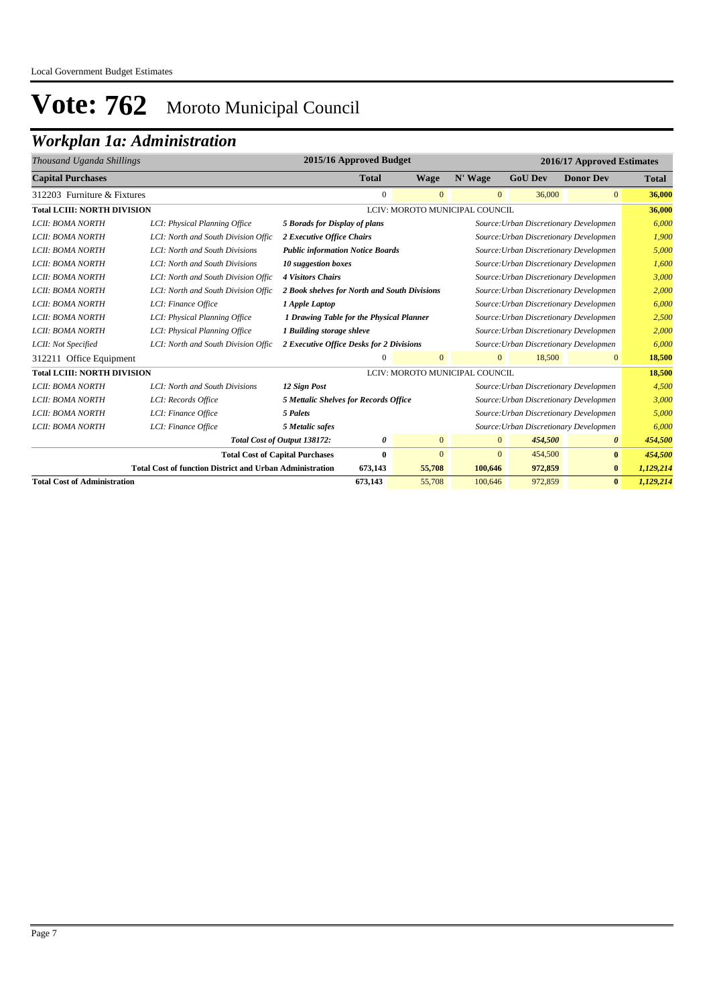## *Workplan 1a: Administration*

| Thousand Uganda Shillings           |                                                                 |                                              | 2015/16 Approved Budget |                |                                |                                        | 2016/17 Approved Estimates |              |
|-------------------------------------|-----------------------------------------------------------------|----------------------------------------------|-------------------------|----------------|--------------------------------|----------------------------------------|----------------------------|--------------|
| <b>Capital Purchases</b>            |                                                                 |                                              | <b>Total</b>            | <b>Wage</b>    | N' Wage                        | <b>GoU Dev</b>                         | <b>Donor Dev</b>           | <b>Total</b> |
| 312203 Furniture & Fixtures         |                                                                 |                                              | $\mathbf{0}$            | $\mathbf{0}$   | $\mathbf{0}$                   | 36,000                                 | $\overline{0}$             | 36,000       |
| <b>Total LCIII: NORTH DIVISION</b>  |                                                                 |                                              |                         |                | LCIV: MOROTO MUNICIPAL COUNCIL |                                        |                            | 36,000       |
| LCII: BOMA NORTH                    | LCI: Physical Planning Office                                   | 5 Borads for Display of plans                |                         |                |                                | Source: Urban Discretionary Developmen |                            | 6,000        |
| LCII: BOMA NORTH                    | LCI: North and South Division Offic                             | 2 Executive Office Chairs                    |                         |                |                                | Source: Urban Discretionary Developmen |                            | 1,900        |
| LCII: BOMA NORTH                    | LCI: North and South Divisions                                  | <b>Public information Notice Boards</b>      |                         |                |                                | Source: Urban Discretionary Developmen |                            | 5,000        |
| LCII: BOMA NORTH                    | LCI: North and South Divisions                                  | 10 suggestion boxes                          |                         |                |                                | Source: Urban Discretionary Developmen |                            | 1,600        |
| LCII: BOMA NORTH                    | LCI: North and South Division Offic                             | <b>4 Visitors Chairs</b>                     |                         |                |                                | Source: Urban Discretionary Developmen |                            | 3,000        |
| LCII: BOMA NORTH                    | LCI: North and South Division Offic                             | 2 Book shelves for North and South Divisions |                         |                |                                | Source: Urban Discretionary Developmen |                            | 2,000        |
| LCII: BOMA NORTH                    | LCI: Finance Office                                             | 1 Apple Laptop                               |                         |                |                                | Source: Urban Discretionary Developmen |                            | 6,000        |
| <b>LCII: BOMA NORTH</b>             | LCI: Physical Planning Office                                   | 1 Drawing Table for the Physical Planner     |                         |                |                                | Source: Urban Discretionary Developmen |                            | 2,500        |
| LCII: BOMA NORTH                    | LCI: Physical Planning Office                                   | 1 Building storage shleve                    |                         |                |                                | Source: Urban Discretionary Developmen |                            | 2,000        |
| LCII: Not Specified                 | LCI: North and South Division Offic                             | 2 Executive Office Desks for 2 Divisions     |                         |                |                                | Source: Urban Discretionary Developmen |                            | 6.000        |
| 312211 Office Equipment             |                                                                 |                                              | $\mathbf{0}$            | $\mathbf{0}$   | $\mathbf{0}$                   | 18,500                                 | $\mathbf{0}$               | 18,500       |
| <b>Total LCIII: NORTH DIVISION</b>  |                                                                 |                                              |                         |                | LCIV: MOROTO MUNICIPAL COUNCIL |                                        |                            | 18,500       |
| LCII: BOMA NORTH                    | LCI: North and South Divisions                                  | 12 Sign Post                                 |                         |                |                                | Source: Urban Discretionary Developmen |                            | 4,500        |
| LCII: BOMA NORTH                    | LCI: Records Office                                             | <b>5 Mettalic Shelves for Records Office</b> |                         |                |                                | Source: Urban Discretionary Developmen |                            | 3.000        |
| LCII: BOMA NORTH                    | LCI: Finance Office                                             | 5 Palets                                     |                         |                |                                | Source: Urban Discretionary Developmen |                            | 5,000        |
| LCII: BOMA NORTH                    | LCI: Finance Office                                             | 5 Metalic safes                              |                         |                |                                | Source: Urban Discretionary Developmen |                            | 6.000        |
|                                     |                                                                 | Total Cost of Output 138172:                 | 0                       | $\overline{0}$ | $\mathbf{0}$                   | 454,500                                | $\boldsymbol{\theta}$      | 454,500      |
|                                     |                                                                 | <b>Total Cost of Capital Purchases</b>       | $\bf{0}$                | $\mathbf{0}$   | $\mathbf{0}$                   | 454,500                                | $\bf{0}$                   | 454,500      |
|                                     | <b>Total Cost of function District and Urban Administration</b> |                                              | 673,143                 | 55,708         | 100,646                        | 972,859                                | $\bf{0}$                   | 1,129,214    |
| <b>Total Cost of Administration</b> |                                                                 |                                              | 673,143                 | 55,708         | 100,646                        | 972,859                                | $\bf{0}$                   | 1,129,214    |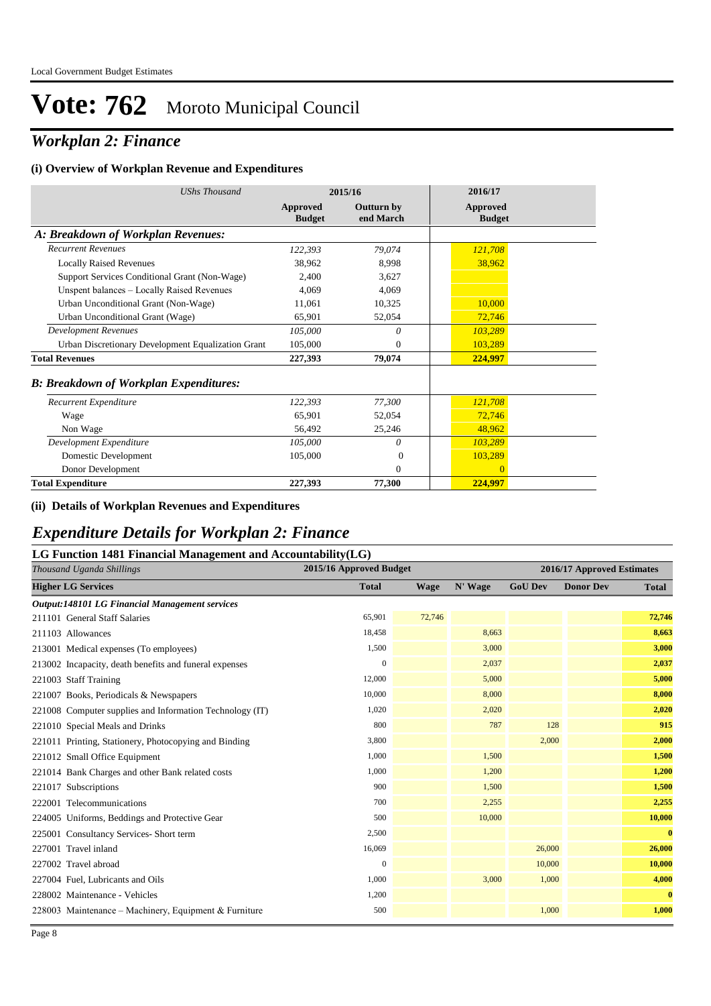## *Workplan 2: Finance*

#### **(i) Overview of Workplan Revenue and Expenditures**

| <b>UShs Thousand</b>                               |                                  | 2015/16                        | 2016/17                          |  |
|----------------------------------------------------|----------------------------------|--------------------------------|----------------------------------|--|
|                                                    | <b>Approved</b><br><b>Budget</b> | <b>Outturn by</b><br>end March | <b>Approved</b><br><b>Budget</b> |  |
| A: Breakdown of Workplan Revenues:                 |                                  |                                |                                  |  |
| <b>Recurrent Revenues</b>                          | 122,393                          | 79,074                         | 121,708                          |  |
| <b>Locally Raised Revenues</b>                     | 38,962                           | 8,998                          | 38,962                           |  |
| Support Services Conditional Grant (Non-Wage)      | 2.400                            | 3.627                          |                                  |  |
| Unspent balances - Locally Raised Revenues         | 4.069                            | 4,069                          |                                  |  |
| Urban Unconditional Grant (Non-Wage)               | 11,061                           | 10,325                         | 10,000                           |  |
| Urban Unconditional Grant (Wage)                   | 65,901                           | 52,054                         | 72,746                           |  |
| <b>Development Revenues</b>                        | 105,000                          | 0                              | 103,289                          |  |
| Urban Discretionary Development Equalization Grant | 105,000                          | $\mathbf{0}$                   | 103,289                          |  |
| <b>Total Revenues</b>                              | 227,393                          | 79,074                         | 224,997                          |  |
| <b>B: Breakdown of Workplan Expenditures:</b>      |                                  |                                |                                  |  |
| Recurrent Expenditure                              | 122,393                          | 77,300                         | 121,708                          |  |
| Wage                                               | 65,901                           | 52,054                         | 72,746                           |  |
| Non Wage                                           | 56,492                           | 25,246                         | 48,962                           |  |
| Development Expenditure                            | 105,000                          | 0                              | 103,289                          |  |
| Domestic Development                               | 105,000                          | $\Omega$                       | 103,289                          |  |
| Donor Development                                  |                                  | $\mathbf{0}$                   | $\mathbf{0}$                     |  |
| <b>Total Expenditure</b>                           | 227,393                          | 77,300                         | 224,997                          |  |

#### **(ii) Details of Workplan Revenues and Expenditures**

### *Expenditure Details for Workplan 2: Finance*

### **LG Function 1481 Financial Management and Accountability(LG)**

|                           | Thousand Uganda Shillings                                | 2015/16 Approved Budget |             |         |                | 2016/17 Approved Estimates |              |
|---------------------------|----------------------------------------------------------|-------------------------|-------------|---------|----------------|----------------------------|--------------|
| <b>Higher LG Services</b> |                                                          | <b>Total</b>            | <b>Wage</b> | N' Wage | <b>GoU Dev</b> | <b>Donor Dev</b>           | <b>Total</b> |
|                           | Output:148101 LG Financial Management services           |                         |             |         |                |                            |              |
|                           | 211101 General Staff Salaries                            | 65,901                  | 72,746      |         |                |                            | 72,746       |
| 211103 Allowances         |                                                          | 18,458                  |             | 8,663   |                |                            | 8,663        |
|                           | 213001 Medical expenses (To employees)                   | 1,500                   |             | 3,000   |                |                            | 3,000        |
|                           | 213002 Incapacity, death benefits and funeral expenses   | $\mathbf{0}$            |             | 2,037   |                |                            | 2,037        |
|                           | 221003 Staff Training                                    | 12,000                  |             | 5,000   |                |                            | 5,000        |
|                           | 221007 Books, Periodicals & Newspapers                   | 10,000                  |             | 8,000   |                |                            | 8,000        |
|                           | 221008 Computer supplies and Information Technology (IT) | 1,020                   |             | 2,020   |                |                            | 2,020        |
|                           | 221010 Special Meals and Drinks                          | 800                     |             | 787     | 128            |                            | 915          |
|                           | 221011 Printing, Stationery, Photocopying and Binding    | 3,800                   |             |         | 2,000          |                            | 2,000        |
|                           | 221012 Small Office Equipment                            | 1,000                   |             | 1,500   |                |                            | 1,500        |
|                           | 221014 Bank Charges and other Bank related costs         | 1,000                   |             | 1,200   |                |                            | 1,200        |
|                           | 221017 Subscriptions                                     | 900                     |             | 1,500   |                |                            | 1,500        |
|                           | 222001 Telecommunications                                | 700                     |             | 2,255   |                |                            | 2,255        |
|                           | 224005 Uniforms, Beddings and Protective Gear            | 500                     |             | 10,000  |                |                            | 10,000       |
|                           | 225001 Consultancy Services- Short term                  | 2,500                   |             |         |                |                            | $\bf{0}$     |
|                           | 227001 Travel inland                                     | 16,069                  |             |         | 26,000         |                            | 26,000       |
|                           | 227002 Travel abroad                                     | $\mathbf{0}$            |             |         | 10,000         |                            | 10,000       |
|                           | 227004 Fuel, Lubricants and Oils                         | 1,000                   |             | 3,000   | 1,000          |                            | 4,000        |
|                           | 228002 Maintenance - Vehicles                            | 1,200                   |             |         |                |                            | $\mathbf{0}$ |
|                           | 228003 Maintenance – Machinery, Equipment & Furniture    | 500                     |             |         | 1,000          |                            | 1,000        |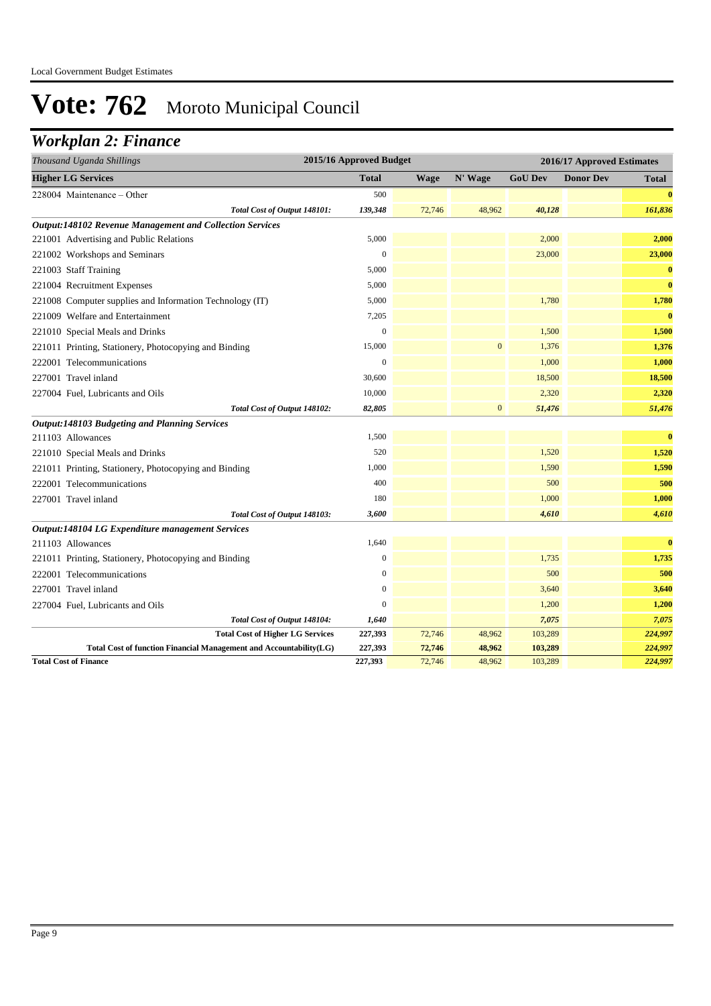## *Workplan 2: Finance*

| Thousand Uganda Shillings                                          | 2015/16 Approved Budget |             | 2016/17 Approved Estimates |                |                  |              |
|--------------------------------------------------------------------|-------------------------|-------------|----------------------------|----------------|------------------|--------------|
| <b>Higher LG Services</b>                                          | <b>Total</b>            | <b>Wage</b> | N' Wage                    | <b>GoU Dev</b> | <b>Donor Dev</b> | <b>Total</b> |
| 228004 Maintenance – Other                                         | 500                     |             |                            |                |                  | $\bf{0}$     |
| Total Cost of Output 148101:                                       | 139,348                 | 72,746      | 48,962                     | 40,128         |                  | 161,836      |
| Output:148102 Revenue Management and Collection Services           |                         |             |                            |                |                  |              |
| 221001 Advertising and Public Relations                            | 5,000                   |             |                            | 2,000          |                  | 2,000        |
| 221002 Workshops and Seminars                                      | $\mathbf{0}$            |             |                            | 23,000         |                  | 23,000       |
| 221003 Staff Training                                              | 5,000                   |             |                            |                |                  | $\bf{0}$     |
| 221004 Recruitment Expenses                                        | 5,000                   |             |                            |                |                  | $\bf{0}$     |
| 221008 Computer supplies and Information Technology (IT)           | 5,000                   |             |                            | 1,780          |                  | 1,780        |
| 221009 Welfare and Entertainment                                   | 7,205                   |             |                            |                |                  | $\bf{0}$     |
| 221010 Special Meals and Drinks                                    | $\boldsymbol{0}$        |             |                            | 1,500          |                  | 1,500        |
| 221011 Printing, Stationery, Photocopying and Binding              | 15,000                  |             | $\mathbf{0}$               | 1,376          |                  | 1,376        |
| 222001 Telecommunications                                          | $\boldsymbol{0}$        |             |                            | 1,000          |                  | 1,000        |
| 227001 Travel inland                                               | 30,600                  |             |                            | 18,500         |                  | 18,500       |
| 227004 Fuel, Lubricants and Oils                                   | 10,000                  |             |                            | 2,320          |                  | 2,320        |
| Total Cost of Output 148102:                                       | 82,805                  |             | $\boldsymbol{0}$           | 51,476         |                  | 51,476       |
| <b>Output:148103 Budgeting and Planning Services</b>               |                         |             |                            |                |                  |              |
| 211103 Allowances                                                  | 1,500                   |             |                            |                |                  | $\bf{0}$     |
| 221010 Special Meals and Drinks                                    | 520                     |             |                            | 1,520          |                  | 1,520        |
| 221011 Printing, Stationery, Photocopying and Binding              | 1,000                   |             |                            | 1,590          |                  | 1,590        |
| 222001 Telecommunications                                          | 400                     |             |                            | 500            |                  | 500          |
| 227001 Travel inland                                               | 180                     |             |                            | 1,000          |                  | 1,000        |
| Total Cost of Output 148103:                                       | 3,600                   |             |                            | 4,610          |                  | 4,610        |
| Output:148104 LG Expenditure management Services                   |                         |             |                            |                |                  |              |
| 211103 Allowances                                                  | 1,640                   |             |                            |                |                  | $\bf{0}$     |
| 221011 Printing, Stationery, Photocopying and Binding              | $\boldsymbol{0}$        |             |                            | 1,735          |                  | 1,735        |
| 222001 Telecommunications                                          | $\mathbf{0}$            |             |                            | 500            |                  | 500          |
| 227001 Travel inland                                               | $\mathbf{0}$            |             |                            | 3,640          |                  | 3,640        |
| 227004 Fuel, Lubricants and Oils                                   | $\mathbf{0}$            |             |                            | 1,200          |                  | 1,200        |
| Total Cost of Output 148104:                                       | 1,640                   |             |                            | 7,075          |                  | 7,075        |
| <b>Total Cost of Higher LG Services</b>                            | 227,393                 | 72,746      | 48,962                     | 103,289        |                  | 224,997      |
| Total Cost of function Financial Management and Accountability(LG) | 227,393                 | 72,746      | 48,962                     | 103,289        |                  | 224,997      |
| <b>Total Cost of Finance</b>                                       | 227,393                 | 72,746      | 48,962                     | 103,289        |                  | 224,997      |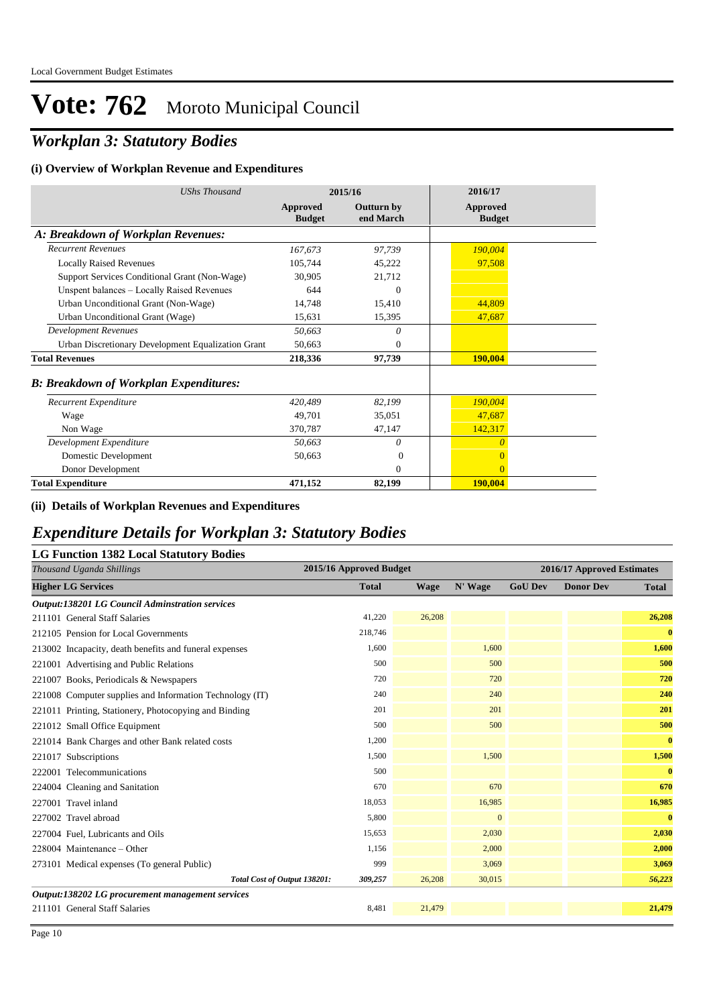## *Workplan 3: Statutory Bodies*

#### **(i) Overview of Workplan Revenue and Expenditures**

| <b>UShs Thousand</b>                               |                           | 2015/16                        | 2016/17                   |
|----------------------------------------------------|---------------------------|--------------------------------|---------------------------|
|                                                    | Approved<br><b>Budget</b> | <b>Outturn by</b><br>end March | Approved<br><b>Budget</b> |
| A: Breakdown of Workplan Revenues:                 |                           |                                |                           |
| <b>Recurrent Revenues</b>                          | 167,673                   | 97,739                         | 190,004                   |
| <b>Locally Raised Revenues</b>                     | 105,744                   | 45,222                         | 97,508                    |
| Support Services Conditional Grant (Non-Wage)      | 30.905                    | 21,712                         |                           |
| Unspent balances - Locally Raised Revenues         | 644                       | $\overline{0}$                 |                           |
| Urban Unconditional Grant (Non-Wage)               | 14.748                    | 15,410                         | 44,809                    |
| Urban Unconditional Grant (Wage)                   | 15,631                    | 15,395                         | 47,687                    |
| <b>Development Revenues</b>                        | 50,663                    | $\theta$                       |                           |
| Urban Discretionary Development Equalization Grant | 50,663                    | $\overline{0}$                 |                           |
| <b>Total Revenues</b>                              | 218,336                   | 97,739                         | 190,004                   |
| <b>B: Breakdown of Workplan Expenditures:</b>      |                           |                                |                           |
| Recurrent Expenditure                              | 420,489                   | 82,199                         | 190,004                   |
| Wage                                               | 49.701                    | 35,051                         | 47,687                    |
| Non Wage                                           | 370,787                   | 47,147                         | 142,317                   |
| Development Expenditure                            | 50,663                    | $\theta$                       | $\theta$                  |
| Domestic Development                               | 50,663                    | $\Omega$                       |                           |
| Donor Development                                  |                           | $\Omega$                       | $\overline{0}$            |
| <b>Total Expenditure</b>                           | 471,152                   | 82,199                         | <b>190,004</b>            |

#### **(ii) Details of Workplan Revenues and Expenditures**

### *Expenditure Details for Workplan 3: Statutory Bodies*

### **LG Function 1382 Local Statutory Bodies**

| Thousand Uganda Shillings                                | 2015/16 Approved Budget |             |              |                | 2016/17 Approved Estimates |              |
|----------------------------------------------------------|-------------------------|-------------|--------------|----------------|----------------------------|--------------|
| <b>Higher LG Services</b>                                | <b>Total</b>            | <b>Wage</b> | N' Wage      | <b>GoU Dev</b> | <b>Donor Dev</b>           | <b>Total</b> |
| <b>Output:138201 LG Council Adminstration services</b>   |                         |             |              |                |                            |              |
| 211101 General Staff Salaries                            | 41,220                  | 26,208      |              |                |                            | 26,208       |
| 212105 Pension for Local Governments                     | 218,746                 |             |              |                |                            | $\bf{0}$     |
| 213002 Incapacity, death benefits and funeral expenses   | 1,600                   |             | 1,600        |                |                            | 1,600        |
| 221001 Advertising and Public Relations                  | 500                     |             | 500          |                |                            | 500          |
| 221007 Books, Periodicals & Newspapers                   | 720                     |             | 720          |                |                            | 720          |
| 221008 Computer supplies and Information Technology (IT) | 240                     |             | 240          |                |                            | 240          |
| 221011 Printing, Stationery, Photocopying and Binding    | 201                     |             | 201          |                |                            | 201          |
| 221012 Small Office Equipment                            | 500                     |             | 500          |                |                            | 500          |
| 221014 Bank Charges and other Bank related costs         | 1,200                   |             |              |                |                            | $\mathbf{0}$ |
| 221017 Subscriptions                                     | 1,500                   |             | 1,500        |                |                            | 1,500        |
| 222001 Telecommunications                                | 500                     |             |              |                |                            | $\bf{0}$     |
| 224004 Cleaning and Sanitation                           | 670                     |             | 670          |                |                            | 670          |
| 227001 Travel inland                                     | 18,053                  |             | 16,985       |                |                            | 16,985       |
| 227002 Travel abroad                                     | 5,800                   |             | $\mathbf{0}$ |                |                            | $\mathbf{0}$ |
| 227004 Fuel, Lubricants and Oils                         | 15,653                  |             | 2,030        |                |                            | 2,030        |
| 228004 Maintenance – Other                               | 1,156                   |             | 2,000        |                |                            | 2,000        |
| 273101 Medical expenses (To general Public)              | 999                     |             | 3,069        |                |                            | 3,069        |
| Total Cost of Output 138201:                             | 309,257                 | 26,208      | 30,015       |                |                            | 56,223       |
| Output:138202 LG procurement management services         |                         |             |              |                |                            |              |
| 211101 General Staff Salaries                            | 8,481                   | 21,479      |              |                |                            | 21,479       |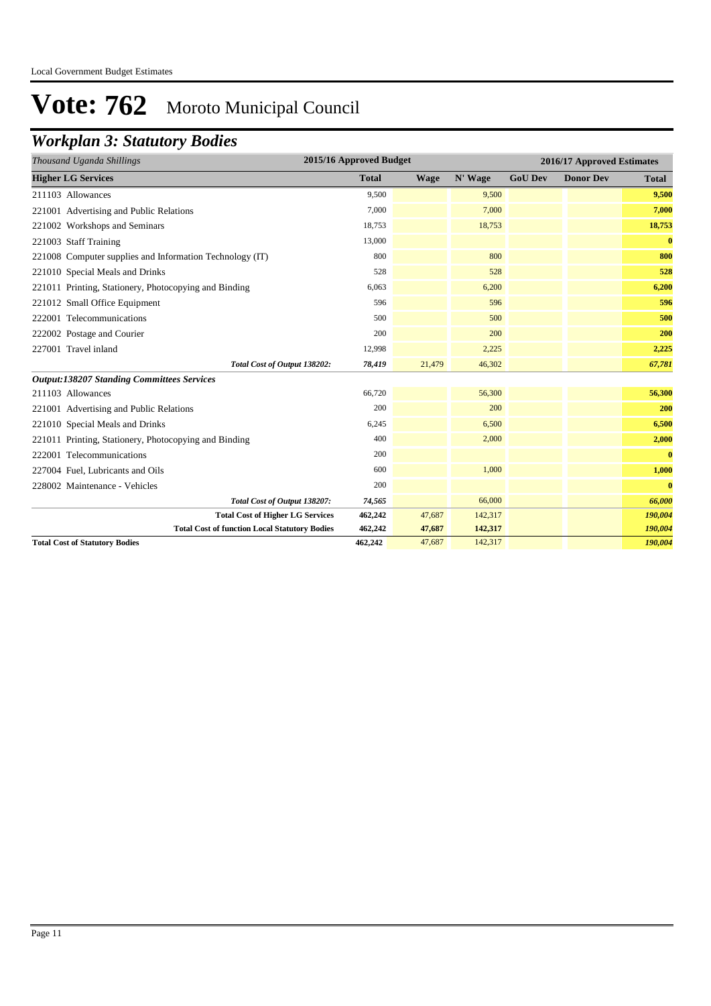## *Workplan 3: Statutory Bodies*

| Thousand Uganda Shillings                                | 2015/16 Approved Budget |             |         |                | 2016/17 Approved Estimates |          |
|----------------------------------------------------------|-------------------------|-------------|---------|----------------|----------------------------|----------|
| <b>Higher LG Services</b>                                | <b>Total</b>            | <b>Wage</b> | N' Wage | <b>GoU Dev</b> | <b>Donor Dev</b>           | Total    |
| 211103 Allowances                                        | 9,500                   |             | 9,500   |                |                            | 9,500    |
| 221001 Advertising and Public Relations                  | 7,000                   |             | 7,000   |                |                            | 7,000    |
| 221002 Workshops and Seminars                            | 18,753                  |             | 18,753  |                |                            | 18,753   |
| 221003 Staff Training                                    | 13,000                  |             |         |                |                            | $\bf{0}$ |
| 221008 Computer supplies and Information Technology (IT) | 800                     |             | 800     |                |                            | 800      |
| 221010 Special Meals and Drinks                          | 528                     |             | 528     |                |                            | 528      |
| 221011 Printing, Stationery, Photocopying and Binding    | 6,063                   |             | 6,200   |                |                            | 6,200    |
| 221012 Small Office Equipment                            | 596                     |             | 596     |                |                            | 596      |
| 222001 Telecommunications                                | 500                     |             | 500     |                |                            | 500      |
| 222002 Postage and Courier                               | 200                     |             | 200     |                |                            | 200      |
| 227001 Travel inland                                     | 12,998                  |             | 2,225   |                |                            | 2,225    |
| Total Cost of Output 138202:                             | 78,419                  | 21,479      | 46,302  |                |                            | 67,781   |
| <b>Output:138207 Standing Committees Services</b>        |                         |             |         |                |                            |          |
| 211103 Allowances                                        | 66,720                  |             | 56,300  |                |                            | 56,300   |
| 221001 Advertising and Public Relations                  | 200                     |             | 200     |                |                            | 200      |
| 221010 Special Meals and Drinks                          | 6,245                   |             | 6,500   |                |                            | 6,500    |
| 221011 Printing, Stationery, Photocopying and Binding    | 400                     |             | 2,000   |                |                            | 2,000    |
| 222001 Telecommunications                                | 200                     |             |         |                |                            | $\bf{0}$ |
| 227004 Fuel, Lubricants and Oils                         | 600                     |             | 1,000   |                |                            | 1,000    |
| 228002 Maintenance - Vehicles                            | 200                     |             |         |                |                            | $\bf{0}$ |
| Total Cost of Output 138207:                             | 74,565                  |             | 66,000  |                |                            | 66,000   |
| <b>Total Cost of Higher LG Services</b>                  | 462,242                 | 47,687      | 142,317 |                |                            | 190,004  |
| <b>Total Cost of function Local Statutory Bodies</b>     | 462,242                 | 47,687      | 142,317 |                |                            | 190,004  |
| <b>Total Cost of Statutory Bodies</b>                    | 462,242                 | 47,687      | 142,317 |                |                            | 190,004  |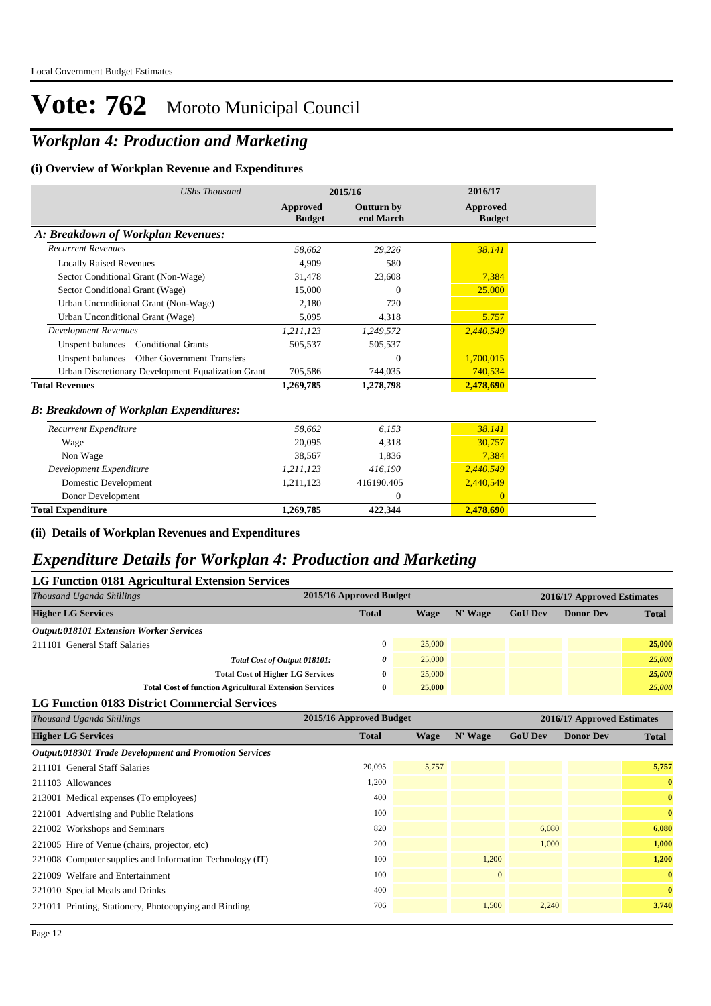## *Workplan 4: Production and Marketing*

#### **(i) Overview of Workplan Revenue and Expenditures**

| <b>UShs Thousand</b>                               |                           | 2015/16                 | 2016/17                          |
|----------------------------------------------------|---------------------------|-------------------------|----------------------------------|
|                                                    | Approved<br><b>Budget</b> | Outturn by<br>end March | <b>Approved</b><br><b>Budget</b> |
| A: Breakdown of Workplan Revenues:                 |                           |                         |                                  |
| <b>Recurrent Revenues</b>                          | 58.662                    | 29,226                  | 38,141                           |
| <b>Locally Raised Revenues</b>                     | 4,909                     | 580                     |                                  |
| Sector Conditional Grant (Non-Wage)                | 31,478                    | 23,608                  | 7,384                            |
| Sector Conditional Grant (Wage)                    | 15,000                    | $\Omega$                | 25,000                           |
| Urban Unconditional Grant (Non-Wage)               | 2.180                     | 720                     |                                  |
| Urban Unconditional Grant (Wage)                   | 5,095                     | 4,318                   | 5,757                            |
| <b>Development Revenues</b>                        | 1,211,123                 | 1,249,572               | 2,440,549                        |
| Unspent balances - Conditional Grants              | 505,537                   | 505,537                 |                                  |
| Unspent balances - Other Government Transfers      |                           | $\theta$                | 1,700,015                        |
| Urban Discretionary Development Equalization Grant | 705,586                   | 744,035                 | 740,534                          |
| <b>Total Revenues</b>                              | 1,269,785                 | 1,278,798               | 2,478,690                        |
| <b>B: Breakdown of Workplan Expenditures:</b>      |                           |                         |                                  |
| Recurrent Expenditure                              | 58,662                    | 6,153                   | 38,141                           |
| Wage                                               | 20,095                    | 4,318                   | 30,757                           |
| Non Wage                                           | 38,567                    | 1,836                   | 7,384                            |
| Development Expenditure                            | 1,211,123                 | 416,190                 | 2,440,549                        |
| Domestic Development                               | 1,211,123                 | 416190.405              | 2,440,549                        |
| Donor Development                                  |                           | $\mathbf{0}$            | $\Omega$                         |
| <b>Total Expenditure</b>                           | 1,269,785                 | 422.344                 | 2.478.690                        |

**(ii) Details of Workplan Revenues and Expenditures**

### *Expenditure Details for Workplan 4: Production and Marketing*

| <b>LG Function 0181 Agricultural Extension Services</b>       |                         |             |              |                |                            |              |
|---------------------------------------------------------------|-------------------------|-------------|--------------|----------------|----------------------------|--------------|
| Thousand Uganda Shillings                                     | 2015/16 Approved Budget |             |              |                | 2016/17 Approved Estimates |              |
| <b>Higher LG Services</b>                                     | <b>Total</b>            | <b>Wage</b> | N' Wage      | <b>GoU Dev</b> | <b>Donor Dev</b>           | <b>Total</b> |
| <b>Output:018101 Extension Worker Services</b>                |                         |             |              |                |                            |              |
| 211101 General Staff Salaries                                 | $\boldsymbol{0}$        | 25,000      |              |                |                            | 25,000       |
| Total Cost of Output 018101:                                  | 0                       | 25,000      |              |                |                            | 25,000       |
| <b>Total Cost of Higher LG Services</b>                       | $\mathbf{0}$            | 25,000      |              |                |                            | 25,000       |
| <b>Total Cost of function Agricultural Extension Services</b> | $\bf{0}$                | 25,000      |              |                |                            | 25,000       |
| <b>LG Function 0183 District Commercial Services</b>          |                         |             |              |                |                            |              |
| Thousand Uganda Shillings                                     | 2015/16 Approved Budget |             |              |                | 2016/17 Approved Estimates |              |
| <b>Higher LG Services</b>                                     | <b>Total</b>            | <b>Wage</b> | N' Wage      | <b>GoU Dev</b> | <b>Donor Dev</b>           | <b>Total</b> |
| <b>Output:018301 Trade Development and Promotion Services</b> |                         |             |              |                |                            |              |
| 211101 General Staff Salaries                                 | 20,095                  | 5,757       |              |                |                            | 5,757        |
| 211103 Allowances                                             | 1,200                   |             |              |                |                            | $\bf{0}$     |
| 213001 Medical expenses (To employees)                        | 400                     |             |              |                |                            | $\bf{0}$     |
| 221001 Advertising and Public Relations                       | 100                     |             |              |                |                            | $\bf{0}$     |
| 221002 Workshops and Seminars                                 | 820                     |             |              | 6,080          |                            | 6,080        |
| 221005 Hire of Venue (chairs, projector, etc)                 | 200                     |             |              | 1,000          |                            | 1,000        |
| 221008 Computer supplies and Information Technology (IT)      | 100                     |             | 1,200        |                |                            | 1,200        |
| 221009 Welfare and Entertainment                              | 100                     |             | $\mathbf{0}$ |                |                            | $\bf{0}$     |
| 221010 Special Meals and Drinks                               | 400                     |             |              |                |                            | $\bf{0}$     |
| 221011 Printing, Stationery, Photocopying and Binding         | 706                     |             | 1,500        | 2,240          |                            | 3,740        |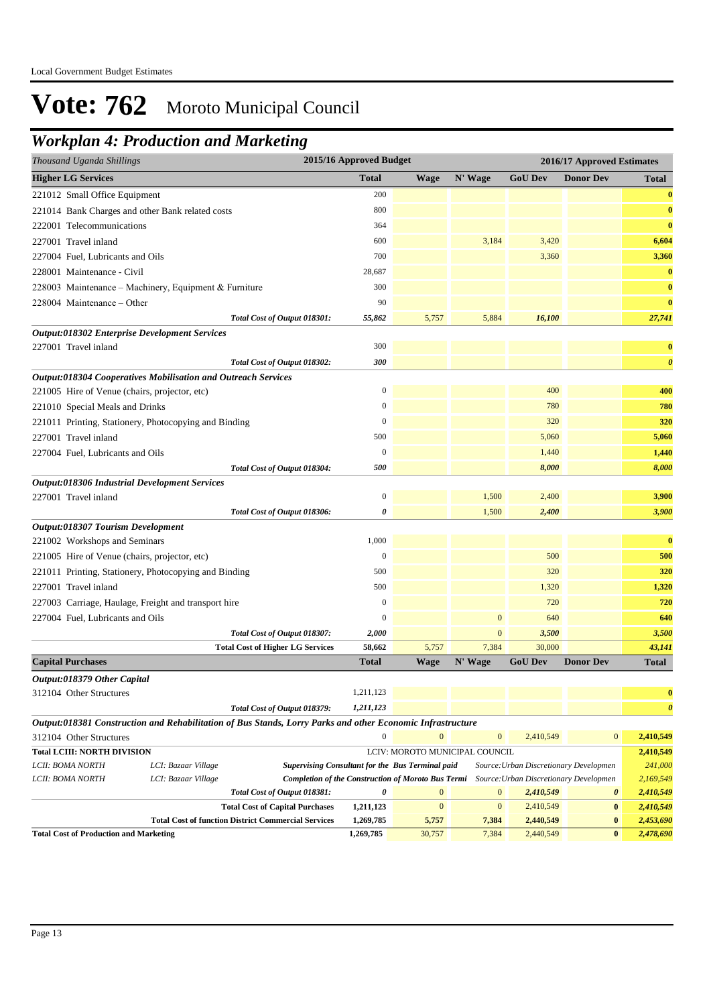## *Workplan 4: Production and Marketing*

| Thousand Uganda Shillings                     |                                                                                                            |                                                            | 2015/16 Approved Budget |              |                                |                                        | 2016/17 Approved Estimates             |                       |
|-----------------------------------------------|------------------------------------------------------------------------------------------------------------|------------------------------------------------------------|-------------------------|--------------|--------------------------------|----------------------------------------|----------------------------------------|-----------------------|
| <b>Higher LG Services</b>                     |                                                                                                            |                                                            | <b>Total</b>            | Wage         | N' Wage                        | <b>GoU Dev</b>                         | <b>Donor Dev</b>                       | Total                 |
| 221012 Small Office Equipment                 |                                                                                                            |                                                            | 200                     |              |                                |                                        |                                        | $\bf{0}$              |
|                                               | 221014 Bank Charges and other Bank related costs                                                           |                                                            | 800                     |              |                                |                                        |                                        | $\bf{0}$              |
| 222001 Telecommunications                     |                                                                                                            |                                                            | 364                     |              |                                |                                        |                                        | $\bf{0}$              |
| 227001 Travel inland                          |                                                                                                            |                                                            | 600                     |              | 3,184                          | 3,420                                  |                                        | 6,604                 |
| 227004 Fuel, Lubricants and Oils              |                                                                                                            |                                                            | 700                     |              |                                | 3,360                                  |                                        | 3,360                 |
| 228001 Maintenance - Civil                    |                                                                                                            |                                                            | 28,687                  |              |                                |                                        |                                        | $\bf{0}$              |
|                                               | 228003 Maintenance - Machinery, Equipment & Furniture                                                      |                                                            | 300                     |              |                                |                                        |                                        | $\bf{0}$              |
| 228004 Maintenance – Other                    |                                                                                                            |                                                            | 90                      |              |                                |                                        |                                        | $\bf{0}$              |
|                                               |                                                                                                            | Total Cost of Output 018301:                               | 55,862                  | 5,757        | 5,884                          | 16,100                                 |                                        | 27,741                |
|                                               | <b>Output:018302 Enterprise Development Services</b>                                                       |                                                            |                         |              |                                |                                        |                                        |                       |
| 227001 Travel inland                          |                                                                                                            |                                                            | 300                     |              |                                |                                        |                                        | $\bf{0}$              |
|                                               |                                                                                                            | Total Cost of Output 018302:                               | 300                     |              |                                |                                        |                                        | $\boldsymbol{\theta}$ |
|                                               | <b>Output:018304 Cooperatives Mobilisation and Outreach Services</b>                                       |                                                            |                         |              |                                |                                        |                                        |                       |
| 221005 Hire of Venue (chairs, projector, etc) |                                                                                                            |                                                            | $\boldsymbol{0}$        |              |                                | 400                                    |                                        | 400                   |
| 221010 Special Meals and Drinks               |                                                                                                            |                                                            | $\mathbf{0}$            |              |                                | 780                                    |                                        | 780                   |
|                                               | 221011 Printing, Stationery, Photocopying and Binding                                                      |                                                            | $\boldsymbol{0}$        |              |                                | 320                                    |                                        | 320                   |
| 227001 Travel inland                          |                                                                                                            |                                                            | 500                     |              |                                | 5,060                                  |                                        | 5,060                 |
| 227004 Fuel, Lubricants and Oils              |                                                                                                            |                                                            | $\boldsymbol{0}$        |              |                                | 1,440                                  |                                        | 1,440                 |
|                                               |                                                                                                            | Total Cost of Output 018304:                               | 500                     |              |                                | 8,000                                  |                                        | 8,000                 |
| Output:018306 Industrial Development Services |                                                                                                            |                                                            |                         |              |                                |                                        |                                        |                       |
| 227001 Travel inland                          |                                                                                                            |                                                            | $\boldsymbol{0}$        |              | 1,500                          | 2,400                                  |                                        | 3,900                 |
|                                               |                                                                                                            | Total Cost of Output 018306:                               | 0                       |              | 1,500                          | 2,400                                  |                                        | 3,900                 |
| Output:018307 Tourism Development             |                                                                                                            |                                                            |                         |              |                                |                                        |                                        |                       |
| 221002 Workshops and Seminars                 |                                                                                                            |                                                            | 1,000                   |              |                                |                                        |                                        | $\bf{0}$              |
| 221005 Hire of Venue (chairs, projector, etc) |                                                                                                            |                                                            | $\boldsymbol{0}$        |              |                                | 500                                    |                                        | 500                   |
|                                               | 221011 Printing, Stationery, Photocopying and Binding                                                      |                                                            | 500                     |              |                                | 320                                    |                                        | 320                   |
| 227001 Travel inland                          |                                                                                                            |                                                            | 500                     |              |                                | 1,320                                  |                                        | 1,320                 |
|                                               | 227003 Carriage, Haulage, Freight and transport hire                                                       |                                                            | $\boldsymbol{0}$        |              |                                | 720                                    |                                        | 720                   |
| 227004 Fuel, Lubricants and Oils              |                                                                                                            |                                                            | $\boldsymbol{0}$        |              | $\boldsymbol{0}$               | 640                                    |                                        | 640                   |
|                                               |                                                                                                            | Total Cost of Output 018307:                               | 2,000                   |              | $\mathbf{0}$                   | 3,500                                  |                                        | 3,500                 |
|                                               |                                                                                                            | <b>Total Cost of Higher LG Services</b>                    | 58,662                  | 5,757        | 7,384                          | 30,000                                 |                                        | 43,141                |
| <b>Capital Purchases</b>                      |                                                                                                            |                                                            | Total                   | <b>Wage</b>  | N' Wage                        | <b>GoU Dev</b>                         | <b>Donor Dev</b>                       | <b>Total</b>          |
| Output:018379 Other Capital                   |                                                                                                            |                                                            |                         |              |                                |                                        |                                        |                       |
| 312104 Other Structures                       |                                                                                                            |                                                            | 1,211,123               |              |                                |                                        |                                        | $\bf{0}$              |
|                                               |                                                                                                            | Total Cost of Output 018379:                               | 1,211,123               |              |                                |                                        |                                        | $\boldsymbol{\theta}$ |
|                                               | Output:018381 Construction and Rehabilitation of Bus Stands, Lorry Parks and other Economic Infrastructure |                                                            |                         |              |                                |                                        |                                        |                       |
| 312104 Other Structures                       |                                                                                                            |                                                            | $\boldsymbol{0}$        | $\mathbf{0}$ | $\boldsymbol{0}$               | 2,410,549                              | $\mathbf{0}$                           | 2,410,549             |
| <b>Total LCIII: NORTH DIVISION</b>            |                                                                                                            |                                                            |                         |              | LCIV: MOROTO MUNICIPAL COUNCIL |                                        |                                        | 2,410,549             |
| LCII: BOMA NORTH                              | LCI: Bazaar Village                                                                                        | <b>Supervising Consultant for the Bus Terminal paid</b>    |                         |              |                                | Source: Urban Discretionary Developmen |                                        | 241,000               |
| LCII: BOMA NORTH                              | LCI: Bazaar Village                                                                                        | <b>Completion of the Construction of Moroto Bus Termi</b>  |                         |              |                                |                                        | Source: Urban Discretionary Developmen | 2,169,549             |
|                                               |                                                                                                            | Total Cost of Output 018381:                               | 0                       | $\mathbf{0}$ | $\boldsymbol{0}$               | 2,410,549                              | $\boldsymbol{\theta}$                  | 2,410,549             |
|                                               |                                                                                                            | <b>Total Cost of Capital Purchases</b>                     | 1,211,123               | $\mathbf{0}$ | $\mathbf{0}$                   | 2,410,549                              | $\bf{0}$                               | 2,410,549             |
|                                               |                                                                                                            | <b>Total Cost of function District Commercial Services</b> | 1,269,785               | 5,757        | 7,384                          | 2,440,549                              | $\bf{0}$                               | 2,453,690             |
| <b>Total Cost of Production and Marketing</b> |                                                                                                            |                                                            | 1,269,785               | 30,757       | 7,384                          | 2,440,549                              | $\bf{0}$                               | 2,478,690             |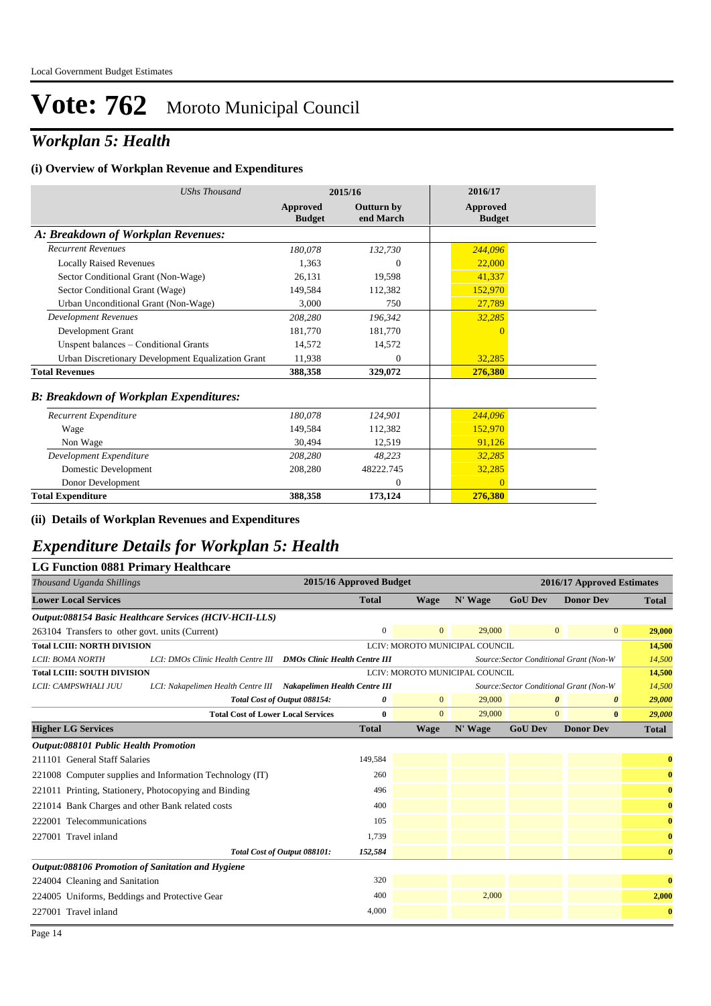## *Workplan 5: Health*

#### **(i) Overview of Workplan Revenue and Expenditures**

| <b>UShs Thousand</b>                               |                           | 2015/16                        | 2016/17                          |
|----------------------------------------------------|---------------------------|--------------------------------|----------------------------------|
|                                                    | Approved<br><b>Budget</b> | <b>Outturn by</b><br>end March | <b>Approved</b><br><b>Budget</b> |
| A: Breakdown of Workplan Revenues:                 |                           |                                |                                  |
| <b>Recurrent Revenues</b>                          | 180,078                   | 132,730                        | 244,096                          |
| <b>Locally Raised Revenues</b>                     | 1.363                     | $\overline{0}$                 | 22,000                           |
| Sector Conditional Grant (Non-Wage)                | 26.131                    | 19.598                         | 41,337                           |
| Sector Conditional Grant (Wage)                    | 149,584                   | 112,382                        | 152,970                          |
| Urban Unconditional Grant (Non-Wage)               | 3,000                     | 750                            | 27,789                           |
| <b>Development Revenues</b>                        | 208,280                   | 196,342                        | 32,285                           |
| Development Grant                                  | 181,770                   | 181,770                        | $\overline{0}$                   |
| Unspent balances - Conditional Grants              | 14.572                    | 14,572                         |                                  |
| Urban Discretionary Development Equalization Grant | 11.938                    | $\mathbf{0}$                   | 32,285                           |
| <b>Total Revenues</b>                              | 388,358                   | 329,072                        | 276,380                          |
| <b>B: Breakdown of Workplan Expenditures:</b>      |                           |                                |                                  |
| Recurrent Expenditure                              | 180,078                   | 124,901                        | 244,096                          |
| Wage                                               | 149.584                   | 112,382                        | 152,970                          |
| Non Wage                                           | 30,494                    | 12,519                         | 91,126                           |
| Development Expenditure                            | 208,280                   | 48,223                         | 32,285                           |
| Domestic Development                               | 208,280                   | 48222.745                      | 32,285                           |
| Donor Development                                  |                           | $\Omega$                       | $\Omega$                         |
| <b>Total Expenditure</b>                           | 388,358                   | 173,124                        | 276,380                          |

#### **(ii) Details of Workplan Revenues and Expenditures**

### *Expenditure Details for Workplan 5: Health*

#### **LG Function 0881 Primary Healthcare**

| Thousand Uganda Shillings                         |                                                                   |                                | 2015/16 Approved Budget |                |                                |                | 2016/17 Approved Estimates              |                       |
|---------------------------------------------------|-------------------------------------------------------------------|--------------------------------|-------------------------|----------------|--------------------------------|----------------|-----------------------------------------|-----------------------|
| <b>Lower Local Services</b>                       |                                                                   |                                | <b>Total</b>            | <b>Wage</b>    | N' Wage                        | <b>GoU Dev</b> | <b>Donor Dev</b>                        | <b>Total</b>          |
|                                                   | Output:088154 Basic Healthcare Services (HCIV-HCII-LLS)           |                                |                         |                |                                |                |                                         |                       |
| 263104 Transfers to other govt. units (Current)   |                                                                   |                                | $\overline{0}$          | $\overline{0}$ | 29,000                         |                | $\mathbf{0}$<br>$\overline{0}$          | 29,000                |
| <b>Total LCIII: NORTH DIVISION</b>                |                                                                   |                                |                         |                | LCIV: MOROTO MUNICIPAL COUNCIL |                |                                         | 14,500                |
| LCII: BOMA NORTH                                  | LCI: DMOs Clinic Health Centre III  DMOs Clinic Health Centre III |                                |                         |                |                                |                | Source: Sector Conditional Grant (Non-W | 14,500                |
| <b>Total LCIII: SOUTH DIVISION</b>                |                                                                   | LCIV: MOROTO MUNICIPAL COUNCIL |                         |                |                                |                |                                         | 14,500                |
| LCII: CAMPSWHALI JUU                              | LCI: Nakapelimen Health Centre III Nakapelimen Health Centre III  |                                |                         |                |                                |                | Source: Sector Conditional Grant (Non-W | 14,500                |
|                                                   | Total Cost of Output 088154:                                      |                                | 0                       | $\overline{0}$ | 29,000                         |                | $\theta$<br>0                           | 29,000                |
|                                                   | <b>Total Cost of Lower Local Services</b>                         |                                | $\bf{0}$                | $\mathbf{0}$   | 29,000                         |                | $\mathbf{0}$<br>$\bf{0}$                | 29,000                |
| <b>Higher LG Services</b>                         |                                                                   |                                | <b>Total</b>            | <b>Wage</b>    | N' Wage                        | <b>GoU Dev</b> | <b>Donor Dev</b>                        | <b>Total</b>          |
| <b>Output:088101 Public Health Promotion</b>      |                                                                   |                                |                         |                |                                |                |                                         |                       |
| 211101 General Staff Salaries                     |                                                                   |                                | 149,584                 |                |                                |                |                                         | $\bf{0}$              |
|                                                   | 221008 Computer supplies and Information Technology (IT)          |                                | 260                     |                |                                |                |                                         | $\bf{0}$              |
|                                                   | 221011 Printing, Stationery, Photocopying and Binding             |                                | 496                     |                |                                |                |                                         | $\bf{0}$              |
| 221014 Bank Charges and other Bank related costs  |                                                                   |                                | 400                     |                |                                |                |                                         | $\bf{0}$              |
| 222001 Telecommunications                         |                                                                   |                                | 105                     |                |                                |                |                                         | $\bf{0}$              |
| 227001 Travel inland                              |                                                                   |                                | 1,739                   |                |                                |                |                                         | $\bf{0}$              |
|                                                   | Total Cost of Output 088101:                                      |                                | 152,584                 |                |                                |                |                                         | $\boldsymbol{\theta}$ |
| Output:088106 Promotion of Sanitation and Hygiene |                                                                   |                                |                         |                |                                |                |                                         |                       |
| 224004 Cleaning and Sanitation                    |                                                                   |                                | 320                     |                |                                |                |                                         | $\bf{0}$              |
| 224005 Uniforms, Beddings and Protective Gear     |                                                                   |                                | 400                     |                | 2,000                          |                |                                         | 2,000                 |
| 227001 Travel inland                              |                                                                   |                                | 4,000                   |                |                                |                |                                         | $\bf{0}$              |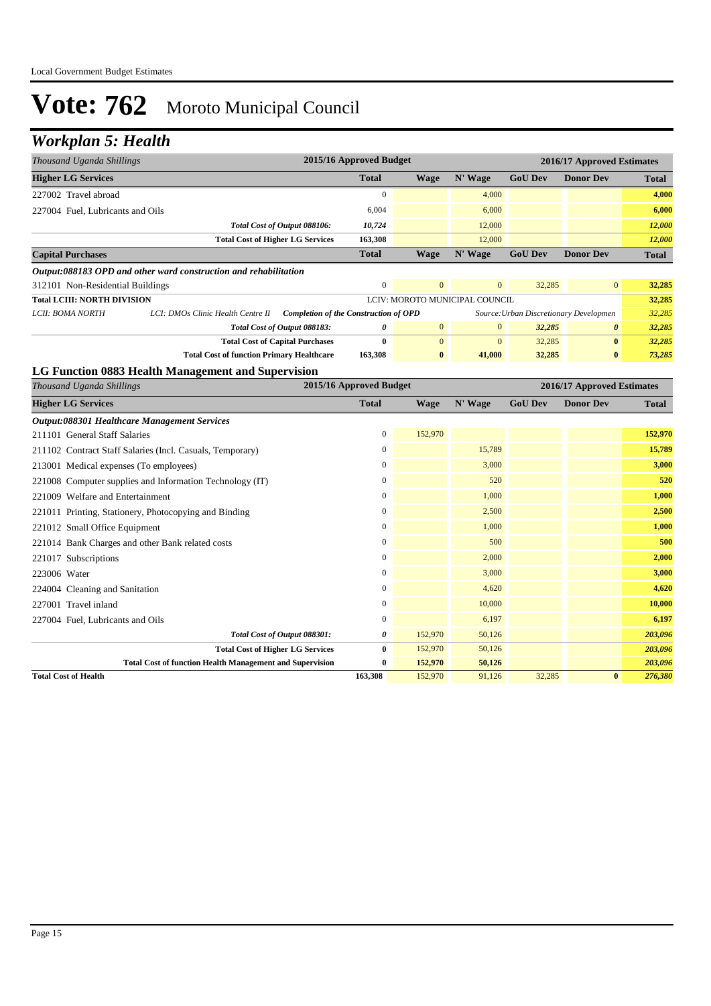## *Workplan 5: Health*

| Thousand Uganda Shillings              |                                                                  |                                              | 2015/16 Approved Budget |              |                                |                | 2016/17 Approved Estimates             |              |
|----------------------------------------|------------------------------------------------------------------|----------------------------------------------|-------------------------|--------------|--------------------------------|----------------|----------------------------------------|--------------|
| <b>Higher LG Services</b>              |                                                                  |                                              | <b>Total</b>            | <b>Wage</b>  | N' Wage                        | <b>GoU Dev</b> | <b>Donor Dev</b>                       | Total        |
| 227002 Travel abroad                   |                                                                  |                                              | $\boldsymbol{0}$        |              | 4,000                          |                |                                        | 4,000        |
| 227004 Fuel, Lubricants and Oils       |                                                                  |                                              | 6,004                   |              | 6,000                          |                |                                        | 6,000        |
|                                        | Total Cost of Output 088106:                                     |                                              | 10,724                  |              | 12,000                         |                |                                        | 12,000       |
|                                        | <b>Total Cost of Higher LG Services</b>                          |                                              | 163,308                 |              | 12,000                         |                |                                        | 12,000       |
| <b>Capital Purchases</b>               |                                                                  |                                              | <b>Total</b>            | <b>Wage</b>  | N' Wage                        | <b>GoU Dev</b> | <b>Donor Dev</b>                       | <b>Total</b> |
|                                        | Output:088183 OPD and other ward construction and rehabilitation |                                              |                         |              |                                |                |                                        |              |
| 312101 Non-Residential Buildings       |                                                                  |                                              | $\boldsymbol{0}$        | $\mathbf{0}$ | $\mathbf{0}$                   | 32,285         | $\mathbf{0}$                           | 32,285       |
| <b>Total LCIII: NORTH DIVISION</b>     |                                                                  |                                              |                         |              | LCIV: MOROTO MUNICIPAL COUNCIL |                |                                        | 32,285       |
| LCII: BOMA NORTH                       | LCI: DMOs Clinic Health Centre II                                | <b>Completion of the Construction of OPD</b> |                         |              |                                |                | Source: Urban Discretionary Developmen | 32,285       |
|                                        | Total Cost of Output 088183:                                     |                                              | 0                       | $\mathbf{0}$ | $\mathbf{0}$                   | 32,285         | 0                                      | 32,285       |
|                                        | <b>Total Cost of Capital Purchases</b>                           |                                              | $\bf{0}$                | $\mathbf{0}$ | $\mathbf{0}$                   | 32,285         | $\bf{0}$                               | 32,285       |
|                                        | <b>Total Cost of function Primary Healthcare</b>                 |                                              | 163,308                 | $\bf{0}$     | 41,000                         | 32,285         | $\bf{0}$                               | 73,285       |
|                                        | LG Function 0883 Health Management and Supervision               |                                              |                         |              |                                |                |                                        |              |
| Thousand Uganda Shillings              |                                                                  |                                              | 2015/16 Approved Budget |              |                                |                | 2016/17 Approved Estimates             |              |
| <b>Higher LG Services</b>              |                                                                  |                                              | <b>Total</b>            | <b>Wage</b>  | N' Wage                        | <b>GoU Dev</b> | <b>Donor Dev</b>                       | <b>Total</b> |
|                                        | Output:088301 Healthcare Management Services                     |                                              |                         |              |                                |                |                                        |              |
| 211101 General Staff Salaries          |                                                                  |                                              | $\overline{0}$          | 152,970      |                                |                |                                        | 152,970      |
|                                        | 211102 Contract Staff Salaries (Incl. Casuals, Temporary)        |                                              | $\boldsymbol{0}$        |              | 15,789                         |                |                                        | 15,789       |
| 213001 Medical expenses (To employees) |                                                                  |                                              | $\mathbf{0}$            |              | 3,000                          |                |                                        | 3,000        |
|                                        | 221008 Computer supplies and Information Technology (IT)         |                                              | $\boldsymbol{0}$        |              | 520                            |                |                                        | 520          |
| 221009 Welfare and Entertainment       |                                                                  |                                              | $\overline{0}$          |              | 1,000                          |                |                                        | 1,000        |
|                                        | 221011 Printing, Stationery, Photocopying and Binding            |                                              | $\theta$                |              | 2,500                          |                |                                        | 2,500        |
| 221012 Small Office Equipment          |                                                                  |                                              | $\overline{0}$          |              | 1,000                          |                |                                        | 1,000        |
|                                        | 221014 Bank Charges and other Bank related costs                 |                                              | $\boldsymbol{0}$        |              | 500                            |                |                                        | 500          |
| 221017 Subscriptions                   |                                                                  |                                              | $\theta$                |              | 2,000                          |                |                                        | 2,000        |
| 223006 Water                           |                                                                  |                                              | $\overline{0}$          |              | 3,000                          |                |                                        | 3,000        |
| 224004 Cleaning and Sanitation         |                                                                  |                                              | $\overline{0}$          |              | 4,620                          |                |                                        | 4,620        |
| 227001 Travel inland                   |                                                                  |                                              | $\theta$                |              | 10,000                         |                |                                        | 10,000       |
| 227004 Fuel, Lubricants and Oils       |                                                                  |                                              | 0                       |              | 6,197                          |                |                                        | 6,197        |
|                                        | Total Cost of Output 088301:                                     |                                              | 0                       | 152,970      | 50,126                         |                |                                        | 203,096      |
|                                        | <b>Total Cost of Higher LG Services</b>                          |                                              | $\bf{0}$                | 152,970      | 50,126                         |                |                                        | 203,096      |
|                                        | <b>Total Cost of function Health Management and Supervision</b>  |                                              | $\bf{0}$                | 152,970      | 50,126                         |                |                                        | 203,096      |
| <b>Total Cost of Health</b>            |                                                                  |                                              | 163,308                 | 152,970      | 91,126                         | 32,285         | $\bf{0}$                               | 276,380      |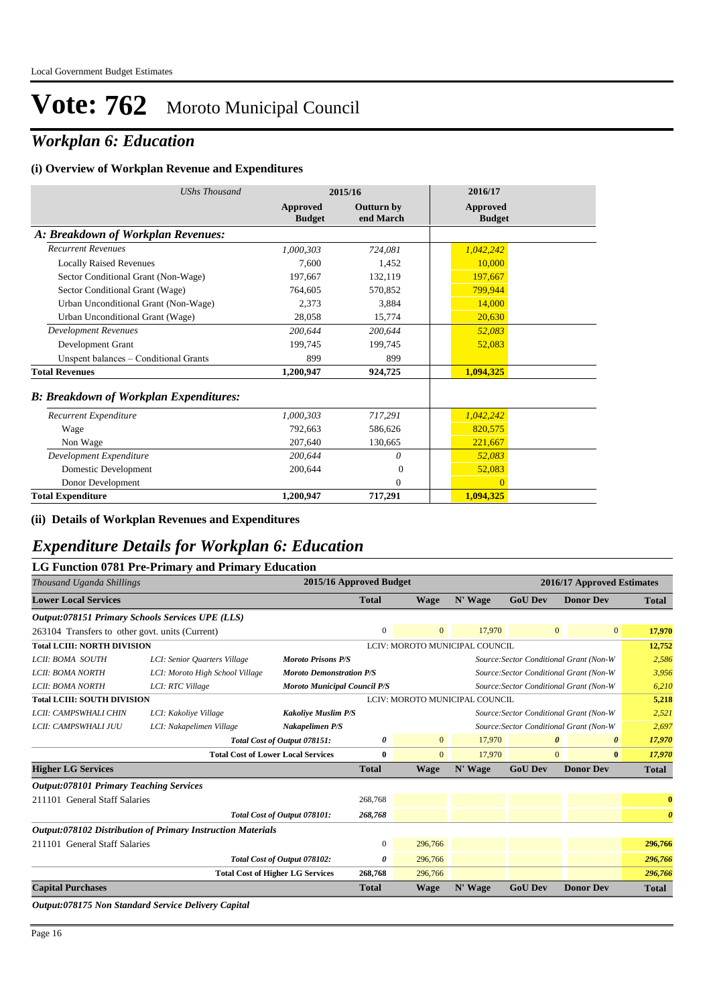## *Workplan 6: Education*

#### **(i) Overview of Workplan Revenue and Expenditures**

| <b>UShs Thousand</b>                          |                           | 2015/16                        | 2016/17                   |
|-----------------------------------------------|---------------------------|--------------------------------|---------------------------|
|                                               | Approved<br><b>Budget</b> | <b>Outturn by</b><br>end March | Approved<br><b>Budget</b> |
| A: Breakdown of Workplan Revenues:            |                           |                                |                           |
| <b>Recurrent Revenues</b>                     | 1,000,303                 | 724.081                        | 1,042,242                 |
| <b>Locally Raised Revenues</b>                | 7.600                     | 1.452                          | 10.000                    |
| Sector Conditional Grant (Non-Wage)           | 197.667                   | 132,119                        | 197,667                   |
| Sector Conditional Grant (Wage)               | 764,605                   | 570,852                        | 799,944                   |
| Urban Unconditional Grant (Non-Wage)          | 2.373                     | 3.884                          | 14,000                    |
| Urban Unconditional Grant (Wage)              | 28,058                    | 15,774                         | 20,630                    |
| <b>Development Revenues</b>                   | 200,644                   | 200,644                        | 52,083                    |
| Development Grant                             | 199,745                   | 199,745                        | 52,083                    |
| Unspent balances - Conditional Grants         | 899                       | 899                            |                           |
| <b>Total Revenues</b>                         | 1,200,947                 | 924,725                        | 1,094,325                 |
| <b>B: Breakdown of Workplan Expenditures:</b> |                           |                                |                           |
| Recurrent Expenditure                         | 1,000,303                 | 717,291                        | 1,042,242                 |
| Wage                                          | 792,663                   | 586,626                        | 820,575                   |
| Non Wage                                      | 207,640                   | 130,665                        | 221,667                   |
| Development Expenditure                       | 200,644                   | 0                              | 52,083                    |
| Domestic Development                          | 200,644                   | $\Omega$                       | 52,083                    |
| Donor Development                             |                           | $\Omega$                       | $\Omega$                  |
| <b>Total Expenditure</b>                      | 1,200,947                 | 717,291                        | 1,094,325                 |

**(ii) Details of Workplan Revenues and Expenditures**

### *Expenditure Details for Workplan 6: Education*

|                                                         | LG Function 0781 Pre-Primary and Primary Education                 |                                                                                |                         |                |                                |                |                                         |                       |
|---------------------------------------------------------|--------------------------------------------------------------------|--------------------------------------------------------------------------------|-------------------------|----------------|--------------------------------|----------------|-----------------------------------------|-----------------------|
| Thousand Uganda Shillings                               |                                                                    |                                                                                | 2015/16 Approved Budget |                |                                |                | 2016/17 Approved Estimates              |                       |
| <b>Lower Local Services</b>                             |                                                                    |                                                                                | <b>Total</b>            | <b>Wage</b>    | N' Wage                        | <b>GoU Dev</b> | <b>Donor Dev</b>                        | <b>Total</b>          |
| <b>Output:078151 Primary Schools Services UPE (LLS)</b> |                                                                    |                                                                                |                         |                |                                |                |                                         |                       |
| 263104 Transfers to other govt. units (Current)         |                                                                    |                                                                                | $\mathbf{0}$            | $\overline{0}$ | 17,970                         |                | $\overline{0}$<br>$\overline{0}$        | 17,970                |
| <b>Total LCIII: NORTH DIVISION</b>                      | LCIV: MOROTO MUNICIPAL COUNCIL                                     |                                                                                |                         | 12,752         |                                |                |                                         |                       |
| LCII: BOMA SOUTH                                        | LCI: Senior Quarters Village                                       | <b>Moroto Prisons P/S</b>                                                      |                         |                |                                |                | Source: Sector Conditional Grant (Non-W | 2,586                 |
| LCII: BOMA NORTH                                        | LCI: Moroto High School Village                                    | <b>Moroto Demonstration P/S</b><br>Source: Sector Conditional Grant (Non-W     |                         |                |                                |                | 3,956                                   |                       |
| LCII: BOMA NORTH                                        | LCI: RTC Village                                                   | <b>Moroto Municipal Council P/S</b><br>Source: Sector Conditional Grant (Non-W |                         |                |                                |                | 6,210                                   |                       |
| <b>Total LCIII: SOUTH DIVISION</b>                      |                                                                    |                                                                                |                         |                | LCIV: MOROTO MUNICIPAL COUNCIL |                |                                         | 5,218                 |
| LCII: CAMPSWHALI CHIN                                   | LCI: Kakoliye Village                                              | <b>Kakoliye Muslim P/S</b>                                                     |                         |                |                                |                | Source: Sector Conditional Grant (Non-W | 2,521                 |
| LCII: CAMPSWHALI JUU                                    | LCI: Nakapelimen Village                                           | Nakapelimen P/S                                                                |                         |                |                                |                | Source: Sector Conditional Grant (Non-W | 2,697                 |
|                                                         |                                                                    | Total Cost of Output 078151:                                                   | 0                       | $\overline{0}$ | 17,970                         |                | $\theta$<br>$\boldsymbol{\theta}$       | 17,970                |
|                                                         | <b>Total Cost of Lower Local Services</b>                          |                                                                                | $\bf{0}$                | $\overline{0}$ | 17,970                         |                | $\overline{0}$<br>$\bf{0}$              | 17,970                |
| <b>Higher LG Services</b>                               |                                                                    |                                                                                | <b>Total</b>            | <b>Wage</b>    | N' Wage                        | <b>GoU Dev</b> | <b>Donor Dev</b>                        | <b>Total</b>          |
| <b>Output:078101 Primary Teaching Services</b>          |                                                                    |                                                                                |                         |                |                                |                |                                         |                       |
| 211101 General Staff Salaries                           |                                                                    |                                                                                | 268,768                 |                |                                |                |                                         | $\bf{0}$              |
|                                                         |                                                                    | Total Cost of Output 078101:                                                   | 268,768                 |                |                                |                |                                         | $\boldsymbol{\theta}$ |
|                                                         | <b>Output:078102 Distribution of Primary Instruction Materials</b> |                                                                                |                         |                |                                |                |                                         |                       |
| 211101 General Staff Salaries                           |                                                                    |                                                                                | $\mathbf{0}$            | 296,766        |                                |                |                                         | 296,766               |
|                                                         |                                                                    | Total Cost of Output 078102:                                                   | 0                       | 296,766        |                                |                |                                         | 296,766               |
|                                                         |                                                                    | <b>Total Cost of Higher LG Services</b>                                        | 268,768                 | 296,766        |                                |                |                                         | 296,766               |
| <b>Capital Purchases</b>                                |                                                                    |                                                                                | <b>Total</b>            | <b>Wage</b>    | N' Wage                        | <b>GoU Dev</b> | <b>Donor Dev</b>                        | <b>Total</b>          |

*Output:078175 Non Standard Service Delivery Capital*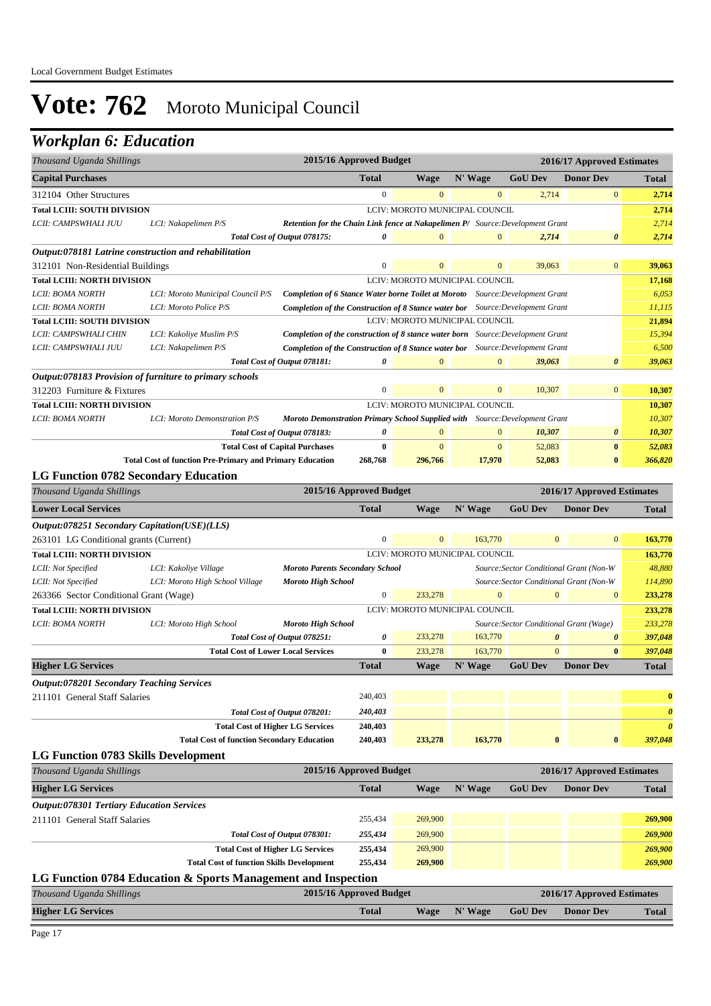### *Workplan 6: Education*

| Thousand Uganda Shillings                        |                                                                 |                                        | 2015/16 Approved Budget |              |                                                                                        |                                         | 2016/17 Approved Estimates              |                       |
|--------------------------------------------------|-----------------------------------------------------------------|----------------------------------------|-------------------------|--------------|----------------------------------------------------------------------------------------|-----------------------------------------|-----------------------------------------|-----------------------|
| <b>Capital Purchases</b>                         |                                                                 |                                        | <b>Total</b>            | <b>Wage</b>  | N' Wage                                                                                | <b>GoU Dev</b>                          | <b>Donor Dev</b>                        | Total                 |
| 312104 Other Structures                          |                                                                 |                                        | $\mathbf{0}$            | $\mathbf{0}$ | $\mathbf{0}$                                                                           | 2,714                                   | $\boldsymbol{0}$                        | 2,714                 |
| <b>Total LCIII: SOUTH DIVISION</b>               |                                                                 |                                        |                         |              | LCIV: MOROTO MUNICIPAL COUNCIL                                                         |                                         |                                         | 2,714                 |
| LCII: CAMPSWHALI JUU                             | LCI: Nakapelimen P/S                                            |                                        |                         |              | Retention for the Chain Link fence at Nakapelimen P/ Source: Development Grant         |                                         |                                         | 2,714                 |
|                                                  | Total Cost of Output 078175:                                    |                                        | 0                       | $\mathbf{0}$ | $\mathbf{0}$                                                                           | 2,714                                   | $\boldsymbol{\theta}$                   | 2,714                 |
|                                                  | Output:078181 Latrine construction and rehabilitation           |                                        |                         |              |                                                                                        |                                         |                                         |                       |
| 312101 Non-Residential Buildings                 |                                                                 |                                        | $\boldsymbol{0}$        | $\mathbf{0}$ | $\mathbf{0}$                                                                           | 39,063                                  | $\boldsymbol{0}$                        | 39,063                |
| <b>Total LCIII: NORTH DIVISION</b>               |                                                                 |                                        |                         |              | LCIV: MOROTO MUNICIPAL COUNCIL                                                         |                                         |                                         | 17,168                |
| LCII: BOMA NORTH                                 | LCI: Moroto Municipal Council P/S                               |                                        |                         |              | <b>Completion of 6 Stance Water borne Toilet at Moroto</b> Source: Development Grant   |                                         |                                         | 6,053                 |
| LCII: BOMA NORTH                                 | LCI: Moroto Police P/S                                          |                                        |                         |              | <b>Completion of the Construction of 8 Stance water bor</b> Source: Development Grant  |                                         |                                         | 11,115                |
| <b>Total LCIII: SOUTH DIVISION</b>               |                                                                 |                                        |                         |              | LCIV: MOROTO MUNICIPAL COUNCIL                                                         |                                         |                                         | 21,894                |
| LCII: CAMPSWHALI CHIN                            | LCI: Kakoliye Muslim P/S                                        |                                        |                         |              | <b>Completion of the construction of 8 stance water born</b> Source: Development Grant |                                         |                                         | 15,394                |
| LCII: CAMPSWHALI JUU                             | LCI: Nakapelimen P/S                                            |                                        |                         |              | Completion of the Construction of 8 Stance water bor Source: Development Grant         |                                         |                                         | 6,500                 |
|                                                  | Total Cost of Output 078181:                                    |                                        | 0                       | $\mathbf{0}$ | $\mathbf{0}$                                                                           | 39,063                                  | $\boldsymbol{\theta}$                   | 39,063                |
|                                                  | Output:078183 Provision of furniture to primary schools         |                                        |                         |              |                                                                                        |                                         |                                         |                       |
| 312203 Furniture & Fixtures                      |                                                                 |                                        | $\boldsymbol{0}$        | $\mathbf{0}$ | $\bf{0}$                                                                               | 10,307                                  | $\overline{0}$                          | 10,307                |
| <b>Total LCIII: NORTH DIVISION</b>               |                                                                 |                                        |                         |              | LCIV: MOROTO MUNICIPAL COUNCIL                                                         |                                         |                                         | 10,307                |
| LCII: BOMA NORTH                                 | LCI: Moroto Demonstration P/S                                   |                                        |                         |              | Moroto Demonstration Primary School Supplied with Source: Development Grant            |                                         |                                         | 10,307                |
|                                                  | Total Cost of Output 078183:                                    |                                        | 0                       | $\mathbf{0}$ | $\mathbf{0}$                                                                           | 10,307                                  | $\boldsymbol{\theta}$                   | 10,307                |
|                                                  | <b>Total Cost of Capital Purchases</b>                          |                                        | $\bf{0}$                | $\mathbf{0}$ | $\mathbf{0}$                                                                           | 52,083                                  | $\bf{0}$                                | 52,083                |
|                                                  | <b>Total Cost of function Pre-Primary and Primary Education</b> |                                        | 268,768                 | 296,766      | 17,970                                                                                 | 52,083                                  | $\bf{0}$                                | 366,820               |
| <b>LG Function 0782 Secondary Education</b>      |                                                                 |                                        |                         |              |                                                                                        |                                         |                                         |                       |
| Thousand Uganda Shillings                        |                                                                 |                                        | 2015/16 Approved Budget |              |                                                                                        |                                         | 2016/17 Approved Estimates              |                       |
| <b>Lower Local Services</b>                      |                                                                 |                                        | <b>Total</b>            | <b>Wage</b>  | N' Wage                                                                                | <b>GoU Dev</b>                          | <b>Donor Dev</b>                        | Total                 |
| Output:078251 Secondary Capitation(USE)(LLS)     |                                                                 |                                        |                         |              |                                                                                        |                                         |                                         |                       |
| 263101 LG Conditional grants (Current)           |                                                                 |                                        | $\mathbf{0}$            | $\mathbf{0}$ | 163,770                                                                                | $\mathbf{0}$                            | $\mathbf{0}$                            | 163,770               |
| <b>Total LCIII: NORTH DIVISION</b>               |                                                                 |                                        |                         |              | LCIV: MOROTO MUNICIPAL COUNCIL                                                         |                                         |                                         | 163,770               |
| LCII: Not Specified                              | LCI: Kakoliye Village                                           | <b>Moroto Parents Secondary School</b> |                         |              |                                                                                        |                                         | Source: Sector Conditional Grant (Non-W | 48,880                |
| LCII: Not Specified                              | LCI: Moroto High School Village                                 | <b>Moroto High School</b>              |                         |              |                                                                                        |                                         | Source: Sector Conditional Grant (Non-W | 114,890               |
| 263366 Sector Conditional Grant (Wage)           |                                                                 |                                        | $\boldsymbol{0}$        | 233,278      | $\mathbf{0}$                                                                           | $\mathbf{0}$                            | $\mathbf{0}$                            | 233,278               |
| <b>Total LCIII: NORTH DIVISION</b>               |                                                                 |                                        |                         |              | LCIV: MOROTO MUNICIPAL COUNCIL                                                         |                                         |                                         | 233,278               |
| LCII: BOMA NORTH                                 | LCI: Moroto High School                                         | <b>Moroto High School</b>              |                         |              |                                                                                        | Source: Sector Conditional Grant (Wage) |                                         | 233,278               |
|                                                  | Total Cost of Output 078251:                                    |                                        | 0                       | 233,278      | 163,770                                                                                | $\boldsymbol{\theta}$                   | $\boldsymbol{\theta}$                   | 397,048               |
|                                                  | <b>Total Cost of Lower Local Services</b>                       |                                        | $\bf{0}$                | 233,278      | 163,770                                                                                | $\mathbf{0}$                            | $\bf{0}$                                | 397,048               |
| <b>Higher LG Services</b>                        |                                                                 |                                        | <b>Total</b>            | <b>Wage</b>  | N' Wage                                                                                | <b>GoU Dev</b>                          | <b>Donor Dev</b>                        | <b>Total</b>          |
| <b>Output:078201 Secondary Teaching Services</b> |                                                                 |                                        |                         |              |                                                                                        |                                         |                                         |                       |
| 211101 General Staff Salaries                    |                                                                 |                                        | 240,403                 |              |                                                                                        |                                         |                                         | $\bf{0}$              |
|                                                  | Total Cost of Output 078201:                                    |                                        | 240,403                 |              |                                                                                        |                                         |                                         | $\boldsymbol{\theta}$ |
|                                                  | <b>Total Cost of Higher LG Services</b>                         |                                        | 240,403                 |              |                                                                                        |                                         |                                         | $\boldsymbol{\theta}$ |
|                                                  | <b>Total Cost of function Secondary Education</b>               |                                        | 240,403                 | 233,278      | 163,770                                                                                | $\bf{0}$                                | $\pmb{0}$                               | 397,048               |
|                                                  |                                                                 |                                        |                         |              |                                                                                        |                                         |                                         |                       |
| LG Function 0783 Skills Development              |                                                                 |                                        | 2015/16 Approved Budget |              |                                                                                        |                                         | 2016/17 Approved Estimates              |                       |
| Thousand Uganda Shillings                        |                                                                 |                                        |                         |              |                                                                                        |                                         |                                         |                       |
| <b>Higher LG Services</b>                        |                                                                 |                                        | <b>Total</b>            | <b>Wage</b>  | N' Wage                                                                                | <b>GoU Dev</b>                          | <b>Donor Dev</b>                        | Total                 |
| <b>Output:078301 Tertiary Education Services</b> |                                                                 |                                        |                         |              |                                                                                        |                                         |                                         |                       |
| 211101 General Staff Salaries                    |                                                                 |                                        | 255,434                 | 269,900      |                                                                                        |                                         |                                         | 269,900               |
|                                                  | Total Cost of Output 078301:                                    |                                        | 255,434                 | 269,900      |                                                                                        |                                         |                                         | 269,900               |
|                                                  | <b>Total Cost of Higher LG Services</b>                         |                                        | 255,434                 | 269,900      |                                                                                        |                                         |                                         | 269,900               |
|                                                  | <b>Total Cost of function Skills Development</b>                |                                        | 255,434                 | 269,900      |                                                                                        |                                         |                                         | 269,900               |
|                                                  | LG Function 0784 Education & Sports Management and Inspection   |                                        |                         |              |                                                                                        |                                         |                                         |                       |
| Thousand Uganda Shillings                        |                                                                 |                                        | 2015/16 Approved Budget |              |                                                                                        |                                         | 2016/17 Approved Estimates              |                       |
| <b>Higher LG Services</b>                        |                                                                 |                                        | <b>Total</b>            | <b>Wage</b>  | N' Wage                                                                                | <b>GoU Dev</b>                          | <b>Donor Dev</b>                        | Total                 |
|                                                  |                                                                 |                                        |                         |              |                                                                                        |                                         |                                         |                       |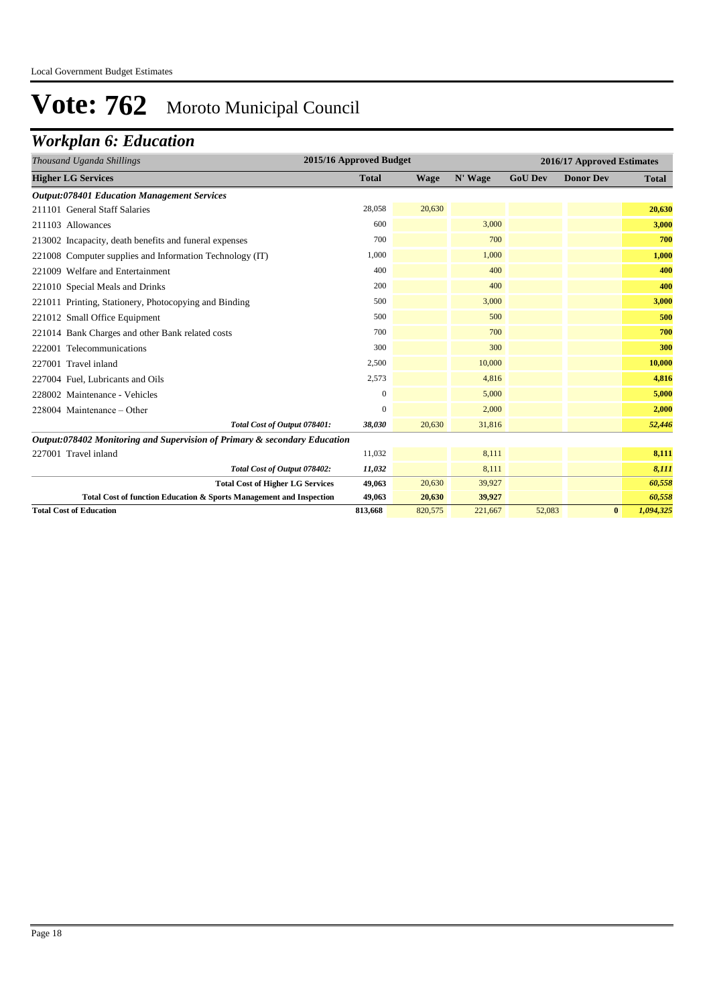## *Workplan 6: Education*

| Thousand Uganda Shillings                                                 | 2015/16 Approved Budget |             |         |                | 2016/17 Approved Estimates |              |
|---------------------------------------------------------------------------|-------------------------|-------------|---------|----------------|----------------------------|--------------|
| <b>Higher LG Services</b>                                                 | <b>Total</b>            | <b>Wage</b> | N' Wage | <b>GoU Dev</b> | <b>Donor Dev</b>           | <b>Total</b> |
| <b>Output:078401 Education Management Services</b>                        |                         |             |         |                |                            |              |
| 211101 General Staff Salaries                                             | 28,058                  | 20,630      |         |                |                            | 20,630       |
| 211103 Allowances                                                         | 600                     |             | 3,000   |                |                            | 3,000        |
| 213002 Incapacity, death benefits and funeral expenses                    | 700                     |             | 700     |                |                            | 700          |
| 221008 Computer supplies and Information Technology (IT)                  | 1,000                   |             | 1,000   |                |                            | 1,000        |
| 221009 Welfare and Entertainment                                          | 400                     |             | 400     |                |                            | 400          |
| 221010 Special Meals and Drinks                                           | 200                     |             | 400     |                |                            | 400          |
| 221011 Printing, Stationery, Photocopying and Binding                     | 500                     |             | 3,000   |                |                            | 3,000        |
| 221012 Small Office Equipment                                             | 500                     |             | 500     |                |                            | 500          |
| 221014 Bank Charges and other Bank related costs                          | 700                     |             | 700     |                |                            | 700          |
| 222001 Telecommunications                                                 | 300                     |             | 300     |                |                            | 300          |
| 227001 Travel inland                                                      | 2,500                   |             | 10,000  |                |                            | 10,000       |
| 227004 Fuel, Lubricants and Oils                                          | 2,573                   |             | 4,816   |                |                            | 4,816        |
| 228002 Maintenance - Vehicles                                             | $\boldsymbol{0}$        |             | 5,000   |                |                            | 5,000        |
| $228004$ Maintenance – Other                                              | $\Omega$                |             | 2,000   |                |                            | 2,000        |
| Total Cost of Output 078401:                                              | 38,030                  | 20,630      | 31,816  |                |                            | 52,446       |
| Output:078402 Monitoring and Supervision of Primary & secondary Education |                         |             |         |                |                            |              |
| 227001 Travel inland                                                      | 11,032                  |             | 8,111   |                |                            | 8,111        |
| Total Cost of Output 078402:                                              | 11,032                  |             | 8,111   |                |                            | 8,111        |
| <b>Total Cost of Higher LG Services</b>                                   | 49,063                  | 20,630      | 39,927  |                |                            | 60,558       |
| Total Cost of function Education & Sports Management and Inspection       | 49,063                  | 20,630      | 39,927  |                |                            | 60,558       |
| <b>Total Cost of Education</b>                                            | 813,668                 | 820,575     | 221,667 | 52,083         | $\bf{0}$                   | 1,094,325    |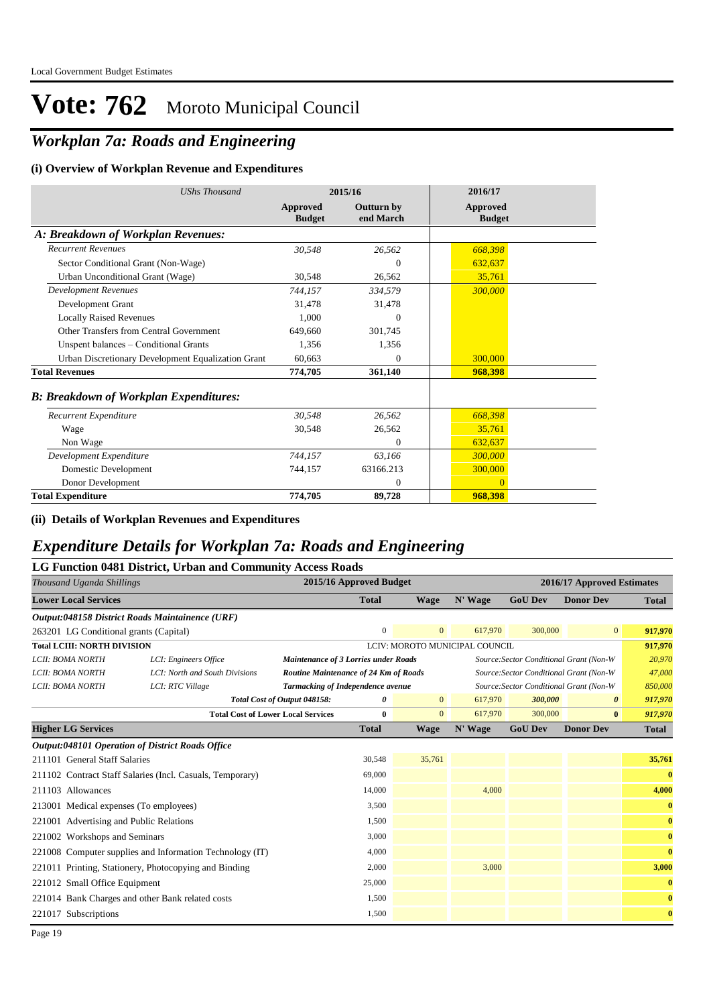## *Workplan 7a: Roads and Engineering*

#### **(i) Overview of Workplan Revenue and Expenditures**

| <b>UShs Thousand</b>                               |                           | 2015/16                        | 2016/17                          |
|----------------------------------------------------|---------------------------|--------------------------------|----------------------------------|
|                                                    | Approved<br><b>Budget</b> | <b>Outturn by</b><br>end March | <b>Approved</b><br><b>Budget</b> |
| A: Breakdown of Workplan Revenues:                 |                           |                                |                                  |
| <b>Recurrent Revenues</b>                          | 30,548                    | 26,562                         | 668,398                          |
| Sector Conditional Grant (Non-Wage)                |                           | $\overline{0}$                 | 632,637                          |
| Urban Unconditional Grant (Wage)                   | 30,548                    | 26,562                         | 35,761                           |
| <b>Development Revenues</b>                        | 744.157                   | 334,579                        | 300,000                          |
| Development Grant                                  | 31.478                    | 31,478                         |                                  |
| <b>Locally Raised Revenues</b>                     | 1.000                     | $\Omega$                       |                                  |
| Other Transfers from Central Government            | 649,660                   | 301.745                        |                                  |
| Unspent balances - Conditional Grants              | 1.356                     | 1,356                          |                                  |
| Urban Discretionary Development Equalization Grant | 60.663                    | $\Omega$                       | 300,000                          |
| <b>Total Revenues</b>                              | 774,705                   | 361,140                        | 968,398                          |
| <b>B: Breakdown of Workplan Expenditures:</b>      |                           |                                |                                  |
| Recurrent Expenditure                              | 30,548                    | 26,562                         | 668,398                          |
| Wage                                               | 30,548                    | 26,562                         | 35,761                           |
| Non Wage                                           |                           | $\mathbf{0}$                   | 632,637                          |
| Development Expenditure                            | 744,157                   | 63,166                         | 300,000                          |
| Domestic Development                               | 744,157                   | 63166.213                      | 300,000                          |
| Donor Development                                  |                           | $\mathbf{0}$                   | $\Omega$                         |
| <b>Total Expenditure</b>                           | 774,705                   | 89,728                         | 968.398                          |

**(ii) Details of Workplan Revenues and Expenditures**

### *Expenditure Details for Workplan 7a: Roads and Engineering*

|                                         | LG Function 0481 District, Urban and Community Access Roads |                                             |                         |                |                                |                                         |                            |              |
|-----------------------------------------|-------------------------------------------------------------|---------------------------------------------|-------------------------|----------------|--------------------------------|-----------------------------------------|----------------------------|--------------|
| Thousand Uganda Shillings               |                                                             |                                             | 2015/16 Approved Budget |                |                                |                                         | 2016/17 Approved Estimates |              |
| <b>Lower Local Services</b>             |                                                             |                                             | <b>Total</b>            | Wage           | N' Wage                        | <b>GoU Dev</b>                          | <b>Donor Dev</b>           | <b>Total</b> |
|                                         | Output:048158 District Roads Maintainence (URF)             |                                             |                         |                |                                |                                         |                            |              |
| 263201 LG Conditional grants (Capital)  |                                                             |                                             | $\mathbf{0}$            | $\mathbf{0}$   | 617,970                        | 300,000                                 | $\overline{0}$             | 917,970      |
| <b>Total LCIII: NORTH DIVISION</b>      |                                                             |                                             |                         |                | LCIV: MOROTO MUNICIPAL COUNCIL |                                         |                            | 917,970      |
| LCII: BOMA NORTH                        | LCI: Engineers Office                                       | <b>Maintenance of 3 Lorries under Roads</b> |                         |                |                                | Source: Sector Conditional Grant (Non-W |                            | 20,970       |
| LCII: BOMA NORTH                        | LCI: North and South Divisions                              | Routine Maintenance of 24 Km of Roads       |                         |                |                                | Source: Sector Conditional Grant (Non-W |                            | 47,000       |
| LCII: BOMA NORTH                        | LCI: RTC Village                                            | Tarmacking of Independence avenue           |                         |                |                                | Source: Sector Conditional Grant (Non-W |                            | 850,000      |
|                                         |                                                             | Total Cost of Output 048158:                | 0                       | $\overline{0}$ | 617,970                        | 300,000                                 | $\boldsymbol{\theta}$      | 917,970      |
|                                         |                                                             | <b>Total Cost of Lower Local Services</b>   | $\bf{0}$                | $\overline{0}$ | 617,970                        | 300,000                                 | $\bf{0}$                   | 917,970      |
| <b>Higher LG Services</b>               |                                                             |                                             | <b>Total</b>            | <b>Wage</b>    | N' Wage                        | <b>GoU Dev</b>                          | <b>Donor Dev</b>           | Total        |
|                                         | <b>Output:048101 Operation of District Roads Office</b>     |                                             |                         |                |                                |                                         |                            |              |
| 211101 General Staff Salaries           |                                                             |                                             | 30,548                  | 35,761         |                                |                                         |                            | 35,761       |
|                                         | 211102 Contract Staff Salaries (Incl. Casuals, Temporary)   |                                             | 69,000                  |                |                                |                                         |                            | $\bf{0}$     |
| 211103 Allowances                       |                                                             |                                             | 14,000                  |                | 4,000                          |                                         |                            | 4,000        |
| 213001 Medical expenses (To employees)  |                                                             |                                             | 3,500                   |                |                                |                                         |                            | $\bf{0}$     |
| 221001 Advertising and Public Relations |                                                             |                                             | 1,500                   |                |                                |                                         |                            | $\bf{0}$     |
| 221002 Workshops and Seminars           |                                                             |                                             | 3,000                   |                |                                |                                         |                            | $\bf{0}$     |
|                                         | 221008 Computer supplies and Information Technology (IT)    |                                             | 4,000                   |                |                                |                                         |                            | $\bf{0}$     |
|                                         | 221011 Printing, Stationery, Photocopying and Binding       |                                             | 2,000                   |                | 3,000                          |                                         |                            | 3,000        |
| 221012 Small Office Equipment           |                                                             |                                             | 25,000                  |                |                                |                                         |                            | $\bf{0}$     |
|                                         | 221014 Bank Charges and other Bank related costs            |                                             | 1,500                   |                |                                |                                         |                            | $\bf{0}$     |
| 221017 Subscriptions                    |                                                             |                                             | 1,500                   |                |                                |                                         |                            | $\bf{0}$     |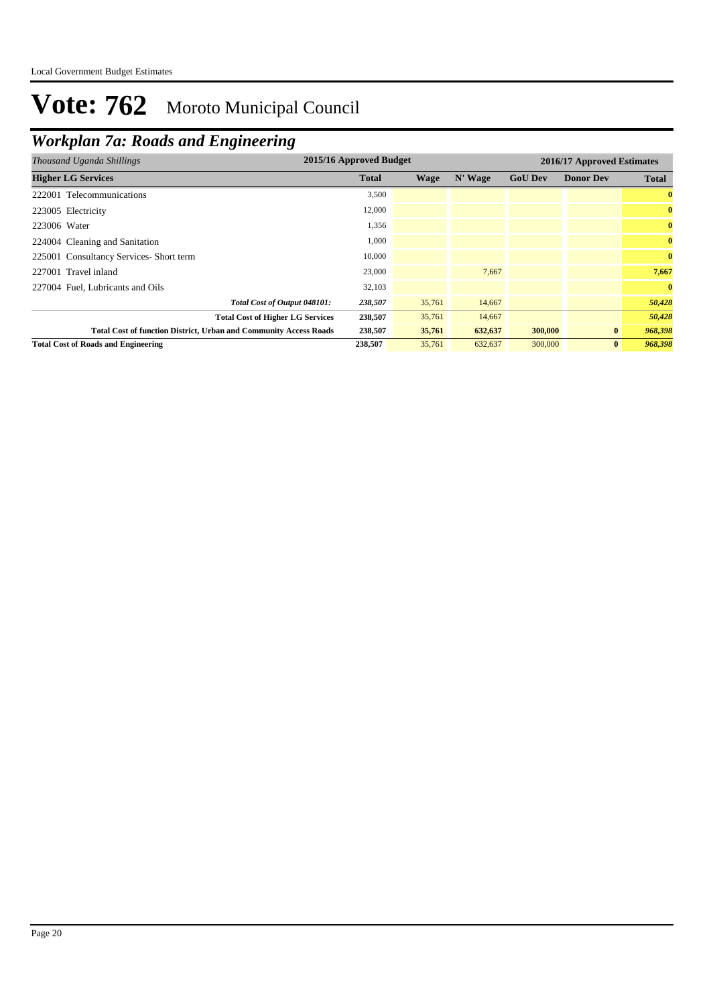## *Workplan 7a: Roads and Engineering*

| Thousand Uganda Shillings                                                | 2015/16 Approved Budget |        |         |                | 2016/17 Approved Estimates |              |
|--------------------------------------------------------------------------|-------------------------|--------|---------|----------------|----------------------------|--------------|
| <b>Higher LG Services</b>                                                | <b>Total</b>            | Wage   | N' Wage | <b>GoU Dev</b> | <b>Donor Dev</b>           | <b>Total</b> |
| 222001 Telecommunications                                                | 3,500                   |        |         |                |                            | $\bf{0}$     |
| 223005 Electricity                                                       | 12,000                  |        |         |                |                            | $\bf{0}$     |
| 223006 Water                                                             | 1,356                   |        |         |                |                            | $\bf{0}$     |
| 224004 Cleaning and Sanitation                                           | 1,000                   |        |         |                |                            | $\bf{0}$     |
| 225001 Consultancy Services- Short term                                  | 10,000                  |        |         |                |                            | $\bf{0}$     |
| 227001 Travel inland                                                     | 23,000                  |        | 7,667   |                |                            | 7,667        |
| 227004 Fuel, Lubricants and Oils                                         | 32,103                  |        |         |                |                            | $\bf{0}$     |
| Total Cost of Output 048101:                                             | 238,507                 | 35,761 | 14,667  |                |                            | 50,428       |
| <b>Total Cost of Higher LG Services</b>                                  | 238,507                 | 35,761 | 14,667  |                |                            | 50,428       |
| <b>Total Cost of function District, Urban and Community Access Roads</b> | 238,507                 | 35,761 | 632,637 | 300,000        | $\bf{0}$                   | 968,398      |
| <b>Total Cost of Roads and Engineering</b>                               | 238,507                 | 35,761 | 632,637 | 300,000        | $\bf{0}$                   | 968,398      |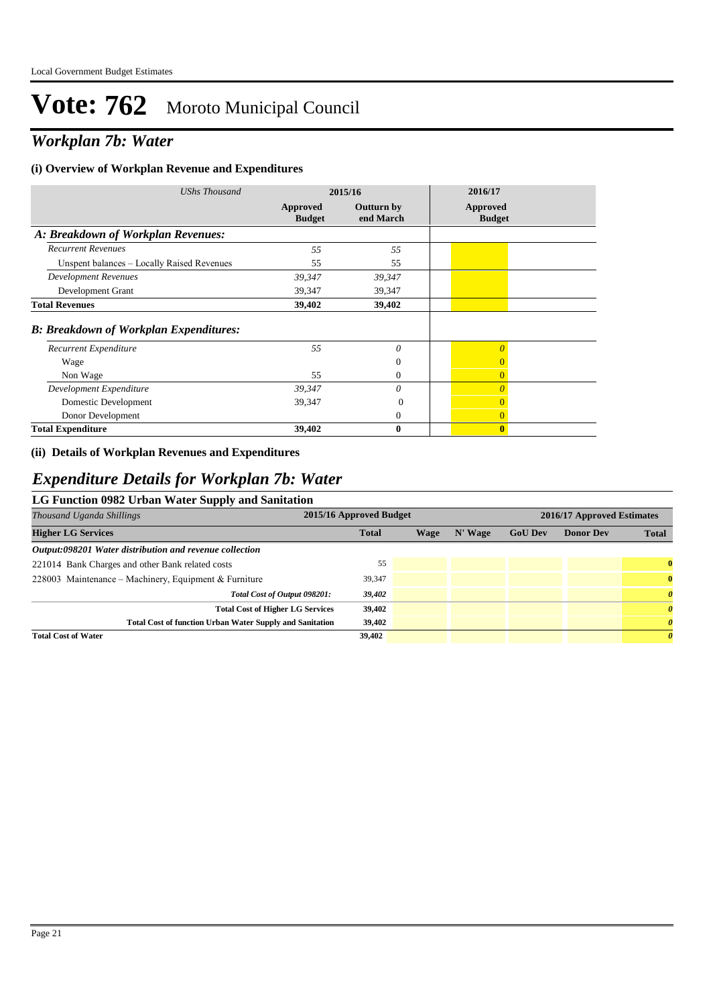## *Workplan 7b: Water*

#### **(i) Overview of Workplan Revenue and Expenditures**

| <b>UShs Thousand</b>                          | 2015/16                   |                         | 2016/17                          |
|-----------------------------------------------|---------------------------|-------------------------|----------------------------------|
|                                               | Approved<br><b>Budget</b> | Outturn by<br>end March | <b>Approved</b><br><b>Budget</b> |
| A: Breakdown of Workplan Revenues:            |                           |                         |                                  |
| <b>Recurrent Revenues</b>                     | 55                        | 55                      |                                  |
| Unspent balances – Locally Raised Revenues    | 55                        | 55                      |                                  |
| <b>Development Revenues</b>                   | 39,347                    | 39,347                  |                                  |
| Development Grant                             | 39,347                    | 39,347                  |                                  |
| <b>Total Revenues</b>                         | 39,402                    | 39,402                  |                                  |
| <b>B: Breakdown of Workplan Expenditures:</b> |                           |                         |                                  |
| Recurrent Expenditure                         | 55                        | $\theta$                | $\overline{0}$                   |
| Wage                                          |                           | $\theta$                | $\overline{0}$                   |
| Non Wage                                      | 55                        | $\mathbf{0}$            | $\overline{0}$                   |
| Development Expenditure                       | 39,347                    | $\theta$                | $\Omega$                         |
| Domestic Development                          | 39,347                    | $\Omega$                |                                  |
| Donor Development                             |                           | $\theta$                | $\overline{0}$                   |
| <b>Total Expenditure</b>                      | 39,402                    | $\bf{0}$                | $\bf{0}$                         |

### **(ii) Details of Workplan Revenues and Expenditures**

### *Expenditure Details for Workplan 7b: Water*

### **LG Function 0982 Urban Water Supply and Sanitation**

| Thousand Uganda Shillings                                       | 2015/16 Approved Budget |      |           |                | 2016/17 Approved Estimates |                       |  |
|-----------------------------------------------------------------|-------------------------|------|-----------|----------------|----------------------------|-----------------------|--|
| <b>Higher LG Services</b>                                       | <b>Total</b>            | Wage | $N'$ Wage | <b>GoU Dev</b> | <b>Donor Dev</b>           | <b>Total</b>          |  |
| Output:098201 Water distribution and revenue collection         |                         |      |           |                |                            |                       |  |
| 221014 Bank Charges and other Bank related costs                | 55                      |      |           |                |                            | $\bf{0}$              |  |
| 228003 Maintenance – Machinery, Equipment & Furniture           | 39,347                  |      |           |                |                            | $\bf{0}$              |  |
| Total Cost of Output 098201:                                    | 39,402                  |      |           |                |                            | $\boldsymbol{\theta}$ |  |
| <b>Total Cost of Higher LG Services</b>                         | 39,402                  |      |           |                |                            | $\boldsymbol{\theta}$ |  |
| <b>Total Cost of function Urban Water Supply and Sanitation</b> | 39,402                  |      |           |                |                            | $\boldsymbol{\theta}$ |  |
| <b>Total Cost of Water</b>                                      | 39,402                  |      |           |                |                            | $\theta$              |  |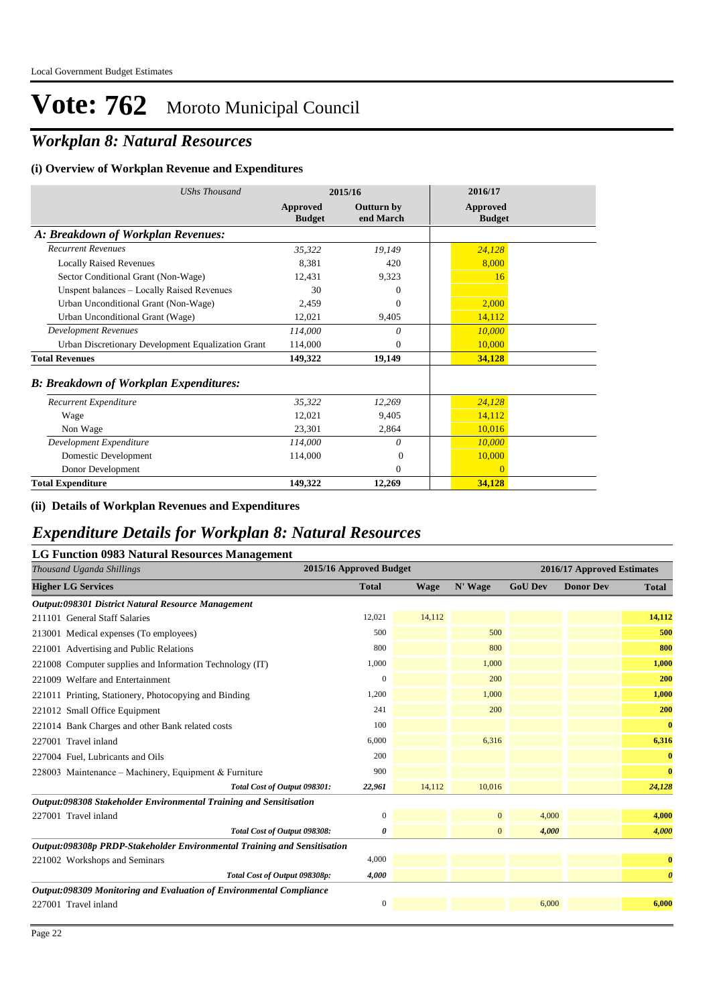## *Workplan 8: Natural Resources*

#### **(i) Overview of Workplan Revenue and Expenditures**

| <b>UShs Thousand</b>                               |                           | 2015/16                        | 2016/17                          |
|----------------------------------------------------|---------------------------|--------------------------------|----------------------------------|
|                                                    | Approved<br><b>Budget</b> | <b>Outturn by</b><br>end March | <b>Approved</b><br><b>Budget</b> |
| A: Breakdown of Workplan Revenues:                 |                           |                                |                                  |
| <b>Recurrent Revenues</b>                          | 35,322                    | 19,149                         | 24,128                           |
| <b>Locally Raised Revenues</b>                     | 8,381                     | 420                            | 8,000                            |
| Sector Conditional Grant (Non-Wage)                | 12.431                    | 9,323                          | 16                               |
| Unspent balances - Locally Raised Revenues         | 30                        | $\Omega$                       |                                  |
| Urban Unconditional Grant (Non-Wage)               | 2,459                     | $\Omega$                       | 2.000                            |
| Urban Unconditional Grant (Wage)                   | 12,021                    | 9,405                          | 14,112                           |
| <b>Development Revenues</b>                        | 114,000                   | $\theta$                       | 10,000                           |
| Urban Discretionary Development Equalization Grant | 114,000                   | $\Omega$                       | 10,000                           |
| <b>Total Revenues</b>                              | 149,322                   | 19,149                         | 34,128                           |
| <b>B: Breakdown of Workplan Expenditures:</b>      |                           |                                |                                  |
| Recurrent Expenditure                              | 35,322                    | 12,269                         | 24,128                           |
| Wage                                               | 12,021                    | 9.405                          | 14,112                           |
| Non Wage                                           | 23,301                    | 2,864                          | 10,016                           |
| Development Expenditure                            | 114,000                   | $\theta$                       | 10,000                           |
| Domestic Development                               | 114,000                   | $\Omega$                       | 10,000                           |
| Donor Development                                  |                           | $\mathbf{0}$                   | $\Omega$                         |
| <b>Total Expenditure</b>                           | 149,322                   | 12,269                         | 34,128                           |

#### **(ii) Details of Workplan Revenues and Expenditures**

### *Expenditure Details for Workplan 8: Natural Resources*

### **LG Function 0983 Natural Resources Management**

| Thousand Uganda Shillings                                                | 2015/16 Approved Budget |             |              |                | 2016/17 Approved Estimates |                       |
|--------------------------------------------------------------------------|-------------------------|-------------|--------------|----------------|----------------------------|-----------------------|
| <b>Higher LG Services</b>                                                | <b>Total</b>            | <b>Wage</b> | N' Wage      | <b>GoU Dev</b> | <b>Donor Dev</b>           | <b>Total</b>          |
| Output:098301 District Natural Resource Management                       |                         |             |              |                |                            |                       |
| 211101 General Staff Salaries                                            | 12,021                  | 14,112      |              |                |                            | 14,112                |
| 213001 Medical expenses (To employees)                                   | 500                     |             | 500          |                |                            | 500                   |
| 221001 Advertising and Public Relations                                  | 800                     |             | 800          |                |                            | 800                   |
| 221008 Computer supplies and Information Technology (IT)                 | 1,000                   |             | 1.000        |                |                            | 1,000                 |
| 221009 Welfare and Entertainment                                         | $\mathbf{0}$            |             | 200          |                |                            | 200                   |
| 221011 Printing, Stationery, Photocopying and Binding                    | 1,200                   |             | 1,000        |                |                            | 1,000                 |
| 221012 Small Office Equipment                                            | 241                     |             | 200          |                |                            | 200                   |
| 221014 Bank Charges and other Bank related costs                         | 100                     |             |              |                |                            | $\bf{0}$              |
| 227001 Travel inland                                                     | 6,000                   |             | 6,316        |                |                            | 6,316                 |
| 227004 Fuel, Lubricants and Oils                                         | 200                     |             |              |                |                            | $\bf{0}$              |
| 228003 Maintenance - Machinery, Equipment & Furniture                    | 900                     |             |              |                |                            | $\bf{0}$              |
| Total Cost of Output 098301:                                             | 22,961                  | 14,112      | 10,016       |                |                            | 24,128                |
| Output:098308 Stakeholder Environmental Training and Sensitisation       |                         |             |              |                |                            |                       |
| 227001 Travel inland                                                     | $\boldsymbol{0}$        |             | $\mathbf{0}$ | 4,000          |                            | 4,000                 |
| Total Cost of Output 098308:                                             | 0                       |             | $\mathbf{0}$ | 4,000          |                            | 4,000                 |
| Output:098308p PRDP-Stakeholder Environmental Training and Sensitisation |                         |             |              |                |                            |                       |
| 221002 Workshops and Seminars                                            | 4,000                   |             |              |                |                            | $\bf{0}$              |
| Total Cost of Output 098308p:                                            | 4,000                   |             |              |                |                            | $\boldsymbol{\theta}$ |
| Output:098309 Monitoring and Evaluation of Environmental Compliance      |                         |             |              |                |                            |                       |
| 227001 Travel inland                                                     | $\mathbf{0}$            |             |              | 6,000          |                            | 6.000                 |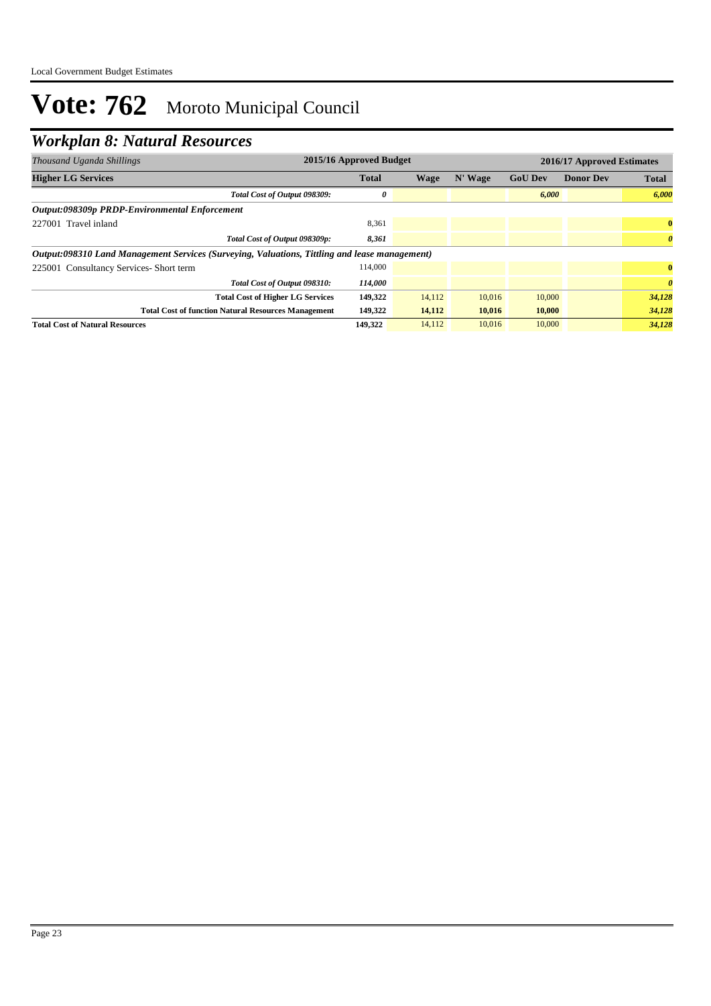## *Workplan 8: Natural Resources*

| Thousand Uganda Shillings                                                                     | 2015/16 Approved Budget |        |         |                | 2016/17 Approved Estimates |                       |  |
|-----------------------------------------------------------------------------------------------|-------------------------|--------|---------|----------------|----------------------------|-----------------------|--|
| <b>Higher LG Services</b>                                                                     | <b>Total</b>            | Wage   | N' Wage | <b>GoU Dev</b> | <b>Donor Dev</b>           | <b>Total</b>          |  |
| Total Cost of Output 098309:                                                                  | 0                       |        |         | 6,000          |                            | 6,000                 |  |
| Output:098309p PRDP-Environmental Enforcement                                                 |                         |        |         |                |                            |                       |  |
| 227001 Travel inland                                                                          | 8,361                   |        |         |                |                            | $\bf{0}$              |  |
| Total Cost of Output 098309p:                                                                 | 8,361                   |        |         |                |                            | $\boldsymbol{\theta}$ |  |
| Output:098310 Land Management Services (Surveying, Valuations, Tittling and lease management) |                         |        |         |                |                            |                       |  |
| 225001 Consultancy Services- Short term                                                       | 114.000                 |        |         |                |                            | $\mathbf{0}$          |  |
| Total Cost of Output 098310:                                                                  | 114,000                 |        |         |                |                            | $\theta$              |  |
| <b>Total Cost of Higher LG Services</b>                                                       | 149,322                 | 14.112 | 10.016  | 10,000         |                            | 34,128                |  |
| <b>Total Cost of function Natural Resources Management</b>                                    | 149,322                 | 14,112 | 10,016  | 10,000         |                            | 34,128                |  |
| <b>Total Cost of Natural Resources</b>                                                        | 149.322                 | 14,112 | 10,016  | 10,000         |                            | 34,128                |  |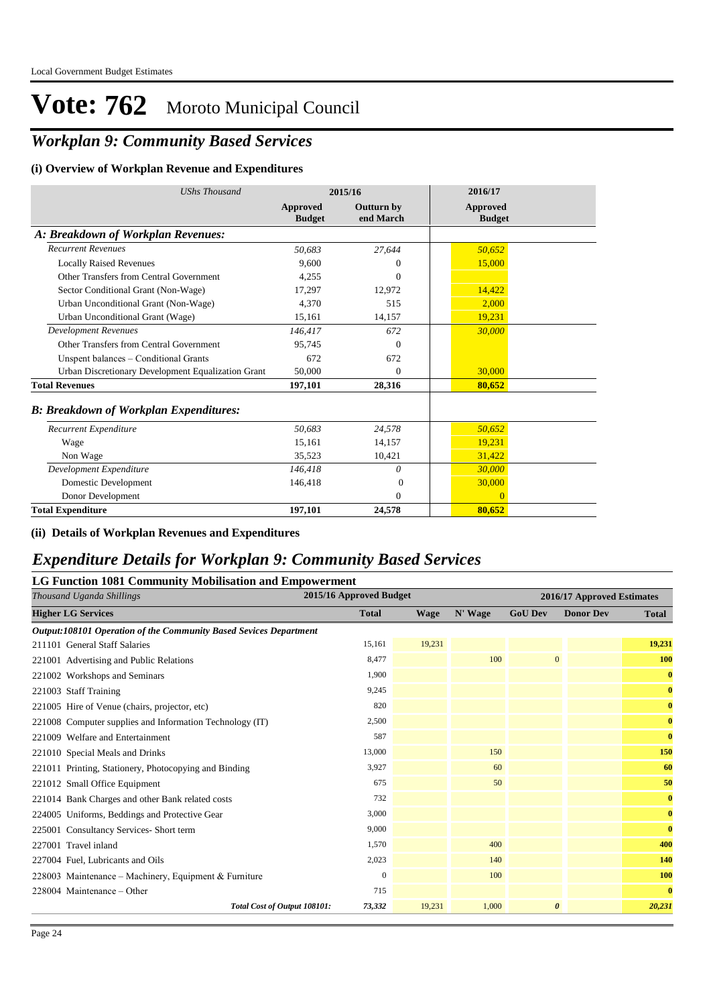## *Workplan 9: Community Based Services*

#### **(i) Overview of Workplan Revenue and Expenditures**

| <b>UShs Thousand</b>                               | 2015/16                   |                                | 2016/17                          |
|----------------------------------------------------|---------------------------|--------------------------------|----------------------------------|
|                                                    | Approved<br><b>Budget</b> | <b>Outturn by</b><br>end March | <b>Approved</b><br><b>Budget</b> |
| A: Breakdown of Workplan Revenues:                 |                           |                                |                                  |
| <b>Recurrent Revenues</b>                          | 50,683                    | 27.644                         | 50,652                           |
| <b>Locally Raised Revenues</b>                     | 9,600                     | $\Omega$                       | 15,000                           |
| Other Transfers from Central Government            | 4,255                     | $\Omega$                       |                                  |
| Sector Conditional Grant (Non-Wage)                | 17,297                    | 12,972                         | 14,422                           |
| Urban Unconditional Grant (Non-Wage)               | 4.370                     | 515                            | 2.000                            |
| Urban Unconditional Grant (Wage)                   | 15,161                    | 14,157                         | 19,231                           |
| <b>Development Revenues</b>                        | 146,417                   | 672                            | 30,000                           |
| Other Transfers from Central Government            | 95,745                    | $\Omega$                       |                                  |
| Unspent balances - Conditional Grants              | 672                       | 672                            |                                  |
| Urban Discretionary Development Equalization Grant | 50,000                    | $\Omega$                       | 30,000                           |
| <b>Total Revenues</b>                              | 197,101                   | 28,316                         | 80,652                           |
| <b>B: Breakdown of Workplan Expenditures:</b>      |                           |                                |                                  |
| Recurrent Expenditure                              | 50,683                    | 24,578                         | 50,652                           |
| Wage                                               | 15,161                    | 14,157                         | 19,231                           |
| Non Wage                                           | 35,523                    | 10,421                         | 31,422                           |
| Development Expenditure                            | 146,418                   | 0                              | 30,000                           |
| Domestic Development                               | 146,418                   | $\Omega$                       | 30,000                           |
| Donor Development                                  |                           | $\mathbf{0}$                   | $\overline{0}$                   |
| <b>Total Expenditure</b>                           | 197.101                   | 24.578                         | 80.652                           |

**(ii) Details of Workplan Revenues and Expenditures**

### *Expenditure Details for Workplan 9: Community Based Services*

### **LG Function 1081 Community Mobilisation and Empowerment**

| Thousand Uganda Shillings                                         | 2015/16 Approved Budget |        |         |                       | 2016/17 Approved Estimates |              |
|-------------------------------------------------------------------|-------------------------|--------|---------|-----------------------|----------------------------|--------------|
| <b>Higher LG Services</b>                                         | <b>Total</b>            | Wage   | N' Wage | <b>GoU Dev</b>        | <b>Donor Dev</b>           | <b>Total</b> |
| Output:108101 Operation of the Community Based Sevices Department |                         |        |         |                       |                            |              |
| 211101 General Staff Salaries                                     | 15,161                  | 19,231 |         |                       |                            | 19,231       |
| 221001 Advertising and Public Relations                           | 8,477                   |        | 100     | $\overline{0}$        |                            | 100          |
| 221002 Workshops and Seminars                                     | 1,900                   |        |         |                       |                            | $\bf{0}$     |
| 221003 Staff Training                                             | 9,245                   |        |         |                       |                            | $\bf{0}$     |
| 221005 Hire of Venue (chairs, projector, etc)                     | 820                     |        |         |                       |                            | $\bf{0}$     |
| 221008 Computer supplies and Information Technology (IT)          | 2,500                   |        |         |                       |                            | $\bf{0}$     |
| 221009 Welfare and Entertainment                                  | 587                     |        |         |                       |                            | $\bf{0}$     |
| 221010 Special Meals and Drinks                                   | 13,000                  |        | 150     |                       |                            | 150          |
| 221011 Printing, Stationery, Photocopying and Binding             | 3,927                   |        | 60      |                       |                            | 60           |
| 221012 Small Office Equipment                                     | 675                     |        | 50      |                       |                            | 50           |
| 221014 Bank Charges and other Bank related costs                  | 732                     |        |         |                       |                            | $\bf{0}$     |
| 224005 Uniforms, Beddings and Protective Gear                     | 3,000                   |        |         |                       |                            | $\bf{0}$     |
| 225001 Consultancy Services- Short term                           | 9,000                   |        |         |                       |                            | $\bf{0}$     |
| 227001 Travel inland                                              | 1,570                   |        | 400     |                       |                            | 400          |
| 227004 Fuel, Lubricants and Oils                                  | 2,023                   |        | 140     |                       |                            | 140          |
| 228003 Maintenance - Machinery, Equipment & Furniture             | $\mathbf{0}$            |        | 100     |                       |                            | <b>100</b>   |
| 228004 Maintenance – Other                                        | 715                     |        |         |                       |                            | $\bf{0}$     |
| Total Cost of Output 108101:                                      | 73,332                  | 19,231 | 1,000   | $\boldsymbol{\theta}$ |                            | 20,231       |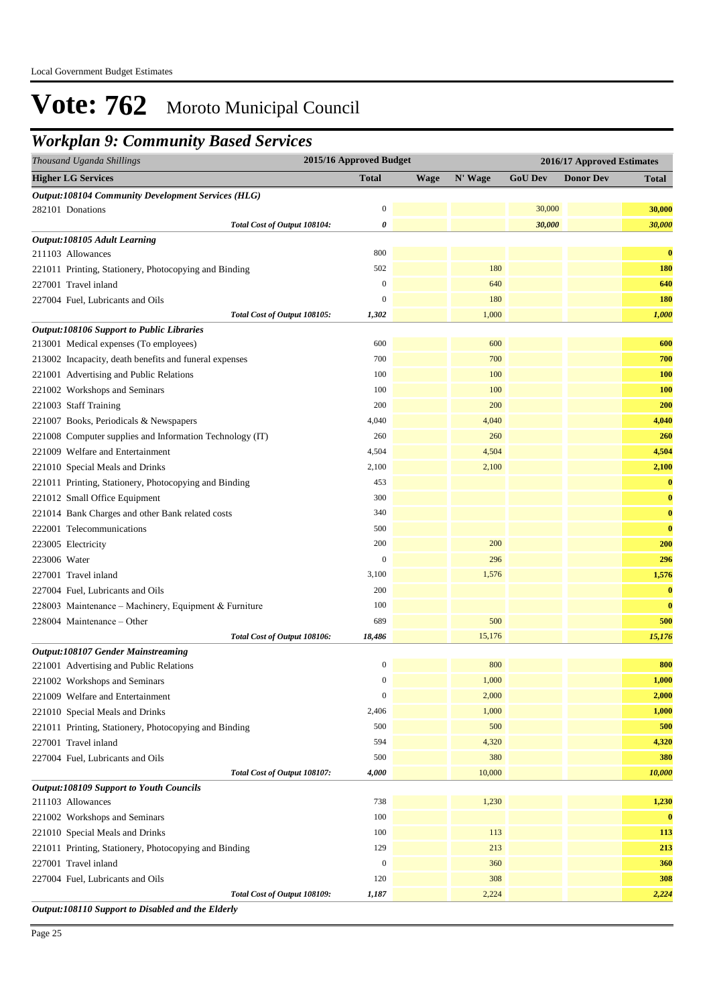### *Workplan 9: Community Based Services*

| Thousand Uganda Shillings                                 | 2015/16 Approved Budget |             |         |                | 2016/17 Approved Estimates |              |
|-----------------------------------------------------------|-------------------------|-------------|---------|----------------|----------------------------|--------------|
| <b>Higher LG Services</b>                                 | <b>Total</b>            | <b>Wage</b> | N' Wage | <b>GoU Dev</b> | <b>Donor Dev</b>           | <b>Total</b> |
| <b>Output:108104 Community Development Services (HLG)</b> |                         |             |         |                |                            |              |
| 282101 Donations                                          | $\boldsymbol{0}$        |             |         | 30,000         |                            | 30,000       |
| Total Cost of Output 108104:                              | 0                       |             |         | 30,000         |                            | 30,000       |
| Output:108105 Adult Learning                              |                         |             |         |                |                            |              |
| 211103 Allowances                                         | 800                     |             |         |                |                            | $\bf{0}$     |
| 221011 Printing, Stationery, Photocopying and Binding     | 502                     |             | 180     |                |                            | 180          |
| 227001 Travel inland                                      | $\boldsymbol{0}$        |             | 640     |                |                            | 640          |
| 227004 Fuel, Lubricants and Oils                          | $\boldsymbol{0}$        |             | 180     |                |                            | <b>180</b>   |
| Total Cost of Output 108105:                              | 1,302                   |             | 1,000   |                |                            | 1,000        |
| <b>Output:108106 Support to Public Libraries</b>          |                         |             |         |                |                            |              |
| 213001 Medical expenses (To employees)                    | 600                     |             | 600     |                |                            | 600          |
| 213002 Incapacity, death benefits and funeral expenses    | 700                     |             | 700     |                |                            | 700          |
| 221001 Advertising and Public Relations                   | 100                     |             | 100     |                |                            | <b>100</b>   |
| 221002 Workshops and Seminars                             | 100                     |             | 100     |                |                            | <b>100</b>   |
| 221003 Staff Training                                     | 200                     |             | 200     |                |                            | 200          |
| 221007 Books, Periodicals & Newspapers                    | 4,040                   |             | 4,040   |                |                            | 4,040        |
| 221008 Computer supplies and Information Technology (IT)  | 260                     |             | 260     |                |                            | 260          |
| 221009 Welfare and Entertainment                          | 4,504                   |             | 4,504   |                |                            | 4,504        |
| 221010 Special Meals and Drinks                           | 2,100                   |             | 2,100   |                |                            | 2,100        |
| 221011 Printing, Stationery, Photocopying and Binding     | 453                     |             |         |                |                            | $\bf{0}$     |
| 221012 Small Office Equipment                             | 300                     |             |         |                |                            | $\bf{0}$     |
| 221014 Bank Charges and other Bank related costs          | 340                     |             |         |                |                            | $\bf{0}$     |
| 222001 Telecommunications                                 | 500                     |             |         |                |                            | $\bf{0}$     |
| 223005 Electricity                                        | 200                     |             | 200     |                |                            | 200          |
| 223006 Water                                              | $\boldsymbol{0}$        |             | 296     |                |                            | 296          |
| 227001 Travel inland                                      | 3,100                   |             | 1,576   |                |                            | 1,576        |
| 227004 Fuel, Lubricants and Oils                          | 200                     |             |         |                |                            | $\bf{0}$     |
| 228003 Maintenance - Machinery, Equipment & Furniture     | 100                     |             |         |                |                            | $\bf{0}$     |
| 228004 Maintenance – Other                                | 689                     |             | 500     |                |                            | 500          |
| Total Cost of Output 108106:                              | 18,486                  |             | 15,176  |                |                            | 15,176       |
| <b>Output:108107 Gender Mainstreaming</b>                 |                         |             |         |                |                            |              |
| 221001 Advertising and Public Relations                   | $\boldsymbol{0}$        |             | 800     |                |                            | 800          |
| 221002 Workshops and Seminars                             | $\boldsymbol{0}$        |             | 1,000   |                |                            | 1,000        |
| 221009 Welfare and Entertainment                          | $\boldsymbol{0}$        |             | 2,000   |                |                            | 2,000        |
| 221010 Special Meals and Drinks                           | 2,406                   |             | 1,000   |                |                            | 1,000        |
| 221011 Printing, Stationery, Photocopying and Binding     | 500                     |             | 500     |                |                            | 500          |
| 227001 Travel inland                                      | 594                     |             | 4,320   |                |                            | 4,320        |
| 227004 Fuel, Lubricants and Oils                          | 500                     |             | 380     |                |                            | 380          |
| Total Cost of Output 108107:                              | 4,000                   |             | 10,000  |                |                            | 10,000       |
| <b>Output:108109 Support to Youth Councils</b>            |                         |             |         |                |                            |              |
| 211103 Allowances                                         | 738                     |             | 1,230   |                |                            | 1,230        |
| 221002 Workshops and Seminars                             | 100                     |             |         |                |                            | $\bf{0}$     |
| 221010 Special Meals and Drinks                           | 100                     |             | 113     |                |                            | 113          |
| 221011 Printing, Stationery, Photocopying and Binding     | 129                     |             | 213     |                |                            | 213          |
| 227001 Travel inland                                      | $\boldsymbol{0}$        |             | 360     |                |                            | 360          |
| 227004 Fuel, Lubricants and Oils                          | 120                     |             | 308     |                |                            | 308          |
| Total Cost of Output 108109:                              | 1,187                   |             | 2,224   |                |                            | 2,224        |
| Output:108110 Support to Disabled and the Elderly         |                         |             |         |                |                            |              |

Page 25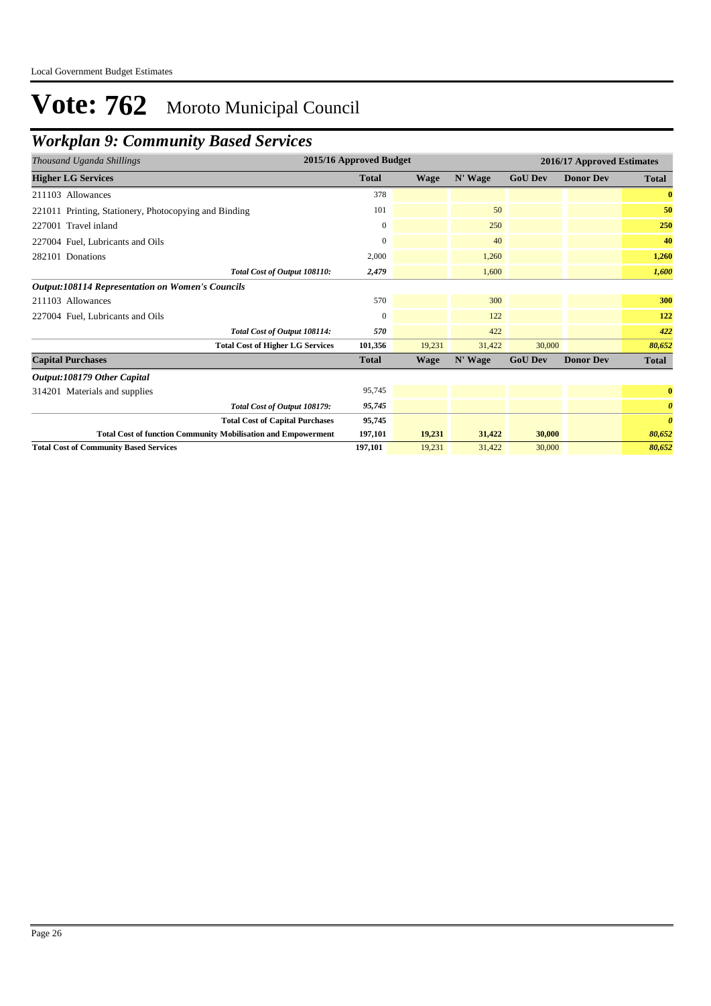## *Workplan 9: Community Based Services*

| Thousand Uganda Shillings                                            | 2015/16 Approved Budget |             |         |                | 2016/17 Approved Estimates |                       |
|----------------------------------------------------------------------|-------------------------|-------------|---------|----------------|----------------------------|-----------------------|
| <b>Higher LG Services</b>                                            | <b>Total</b>            | <b>Wage</b> | N' Wage | <b>GoU Dev</b> | <b>Donor Dev</b>           | <b>Total</b>          |
| 211103 Allowances                                                    | 378                     |             |         |                |                            | $\bf{0}$              |
| 221011 Printing, Stationery, Photocopying and Binding                | 101                     |             | 50      |                |                            | 50                    |
| 227001 Travel inland                                                 | $\mathbf{0}$            |             | 250     |                |                            | 250                   |
| 227004 Fuel, Lubricants and Oils                                     | $\Omega$                |             | 40      |                |                            | 40                    |
| 282101 Donations                                                     | 2,000                   |             | 1,260   |                |                            | 1,260                 |
| Total Cost of Output 108110:                                         | 2,479                   |             | 1,600   |                |                            | 1,600                 |
| <b>Output:108114 Representation on Women's Councils</b>              |                         |             |         |                |                            |                       |
| 211103 Allowances                                                    | 570                     |             | 300     |                |                            | 300                   |
| 227004 Fuel, Lubricants and Oils                                     | $\mathbf{0}$            |             | 122     |                |                            | 122                   |
| Total Cost of Output 108114:                                         | 570                     |             | 422     |                |                            | 422                   |
| <b>Total Cost of Higher LG Services</b>                              | 101,356                 | 19,231      | 31,422  | 30,000         |                            | 80,652                |
| <b>Capital Purchases</b>                                             | <b>Total</b>            | Wage        | N' Wage | <b>GoU Dev</b> | <b>Donor Dev</b>           | Total                 |
| Output:108179 Other Capital                                          |                         |             |         |                |                            |                       |
| 314201 Materials and supplies                                        | 95,745                  |             |         |                |                            | $\bf{0}$              |
| Total Cost of Output 108179:                                         | 95,745                  |             |         |                |                            | $\boldsymbol{\theta}$ |
| <b>Total Cost of Capital Purchases</b>                               | 95,745                  |             |         |                |                            | $\boldsymbol{\theta}$ |
| <b>Total Cost of function Community Mobilisation and Empowerment</b> | 197,101                 | 19,231      | 31,422  | 30,000         |                            | 80,652                |
| <b>Total Cost of Community Based Services</b>                        | 197,101                 | 19,231      | 31.422  | 30,000         |                            | 80,652                |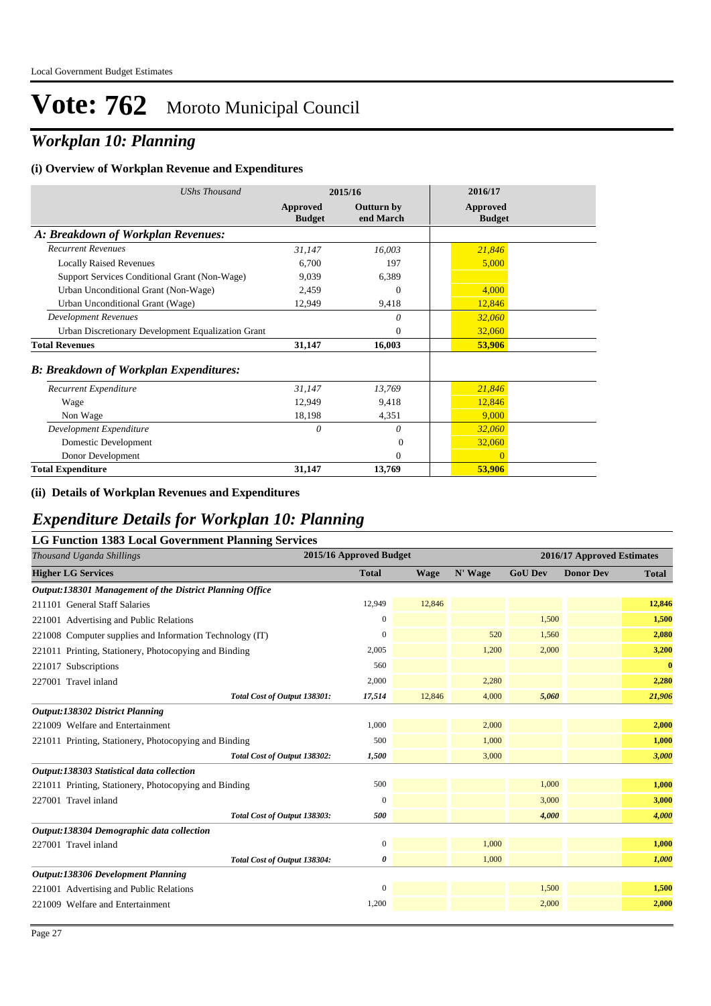## *Workplan 10: Planning*

#### **(i) Overview of Workplan Revenue and Expenditures**

| <b>UShs Thousand</b>                               | 2015/16                   |                                | 2016/17                          |
|----------------------------------------------------|---------------------------|--------------------------------|----------------------------------|
|                                                    | Approved<br><b>Budget</b> | <b>Outturn by</b><br>end March | <b>Approved</b><br><b>Budget</b> |
| A: Breakdown of Workplan Revenues:                 |                           |                                |                                  |
| <b>Recurrent Revenues</b>                          | 31,147                    | 16,003                         | 21,846                           |
| <b>Locally Raised Revenues</b>                     | 6,700                     | 197                            | 5,000                            |
| Support Services Conditional Grant (Non-Wage)      | 9,039                     | 6,389                          |                                  |
| Urban Unconditional Grant (Non-Wage)               | 2,459                     | $\Omega$                       | 4,000                            |
| Urban Unconditional Grant (Wage)                   | 12,949                    | 9,418                          | 12,846                           |
| <b>Development Revenues</b>                        |                           | 0                              | 32,060                           |
| Urban Discretionary Development Equalization Grant |                           | $\overline{0}$                 | 32,060                           |
| <b>Total Revenues</b>                              | 31,147                    | 16,003                         | 53,906                           |
| <b>B: Breakdown of Workplan Expenditures:</b>      |                           |                                |                                  |
| Recurrent Expenditure                              | 31,147                    | 13,769                         | 21,846                           |
| Wage                                               | 12,949                    | 9,418                          | 12,846                           |
| Non Wage                                           | 18,198                    | 4,351                          | 9,000                            |
| Development Expenditure                            | 0                         | $\theta$                       | 32,060                           |
| Domestic Development                               |                           | $\Omega$                       | 32,060                           |
| Donor Development                                  |                           | $\theta$                       | $\overline{0}$                   |
| <b>Total Expenditure</b>                           | 31,147                    | 13,769                         | 53,906                           |

#### **(ii) Details of Workplan Revenues and Expenditures**

### *Expenditure Details for Workplan 10: Planning*

| <b>LG Function 1383 Local Government Planning Services</b> |                         |             |         |                |                            |              |  |  |
|------------------------------------------------------------|-------------------------|-------------|---------|----------------|----------------------------|--------------|--|--|
| Thousand Uganda Shillings                                  | 2015/16 Approved Budget |             |         |                | 2016/17 Approved Estimates |              |  |  |
| <b>Higher LG Services</b>                                  | <b>Total</b>            | <b>Wage</b> | N' Wage | <b>GoU Dev</b> | <b>Donor Dev</b>           | <b>Total</b> |  |  |
| Output:138301 Management of the District Planning Office   |                         |             |         |                |                            |              |  |  |
| 211101 General Staff Salaries                              | 12,949                  | 12,846      |         |                |                            | 12,846       |  |  |
| 221001 Advertising and Public Relations                    | 0                       |             |         | 1,500          |                            | 1,500        |  |  |
| 221008 Computer supplies and Information Technology (IT)   | $\Omega$                |             | 520     | 1,560          |                            | 2,080        |  |  |
| 221011 Printing, Stationery, Photocopying and Binding      | 2,005                   |             | 1,200   | 2,000          |                            | 3,200        |  |  |
| 221017 Subscriptions                                       | 560                     |             |         |                |                            | $\bf{0}$     |  |  |
| 227001 Travel inland                                       | 2,000                   |             | 2,280   |                |                            | 2,280        |  |  |
| Total Cost of Output 138301:                               | 17,514                  | 12,846      | 4,000   | 5,060          |                            | 21,906       |  |  |
| Output:138302 District Planning                            |                         |             |         |                |                            |              |  |  |
| 221009 Welfare and Entertainment                           | 1,000                   |             | 2,000   |                |                            | 2,000        |  |  |
| 221011 Printing, Stationery, Photocopying and Binding      | 500                     |             | 1,000   |                |                            | 1,000        |  |  |
| Total Cost of Output 138302:                               | 1,500                   |             | 3,000   |                |                            | 3,000        |  |  |
| Output:138303 Statistical data collection                  |                         |             |         |                |                            |              |  |  |
| 221011 Printing, Stationery, Photocopying and Binding      | 500                     |             |         | 1.000          |                            | 1,000        |  |  |
| 227001 Travel inland                                       | $\Omega$                |             |         | 3,000          |                            | 3,000        |  |  |
| Total Cost of Output 138303:                               | 500                     |             |         | 4,000          |                            | 4,000        |  |  |
| Output:138304 Demographic data collection                  |                         |             |         |                |                            |              |  |  |
| 227001 Travel inland                                       | $\mathbf{0}$            |             | 1,000   |                |                            | 1,000        |  |  |
| Total Cost of Output 138304:                               | 0                       |             | 1,000   |                |                            | 1,000        |  |  |
| <b>Output:138306 Development Planning</b>                  |                         |             |         |                |                            |              |  |  |
| 221001 Advertising and Public Relations                    | $\mathbf{0}$            |             |         | 1,500          |                            | 1,500        |  |  |
| 221009 Welfare and Entertainment                           | 1,200                   |             |         | 2,000          |                            | 2,000        |  |  |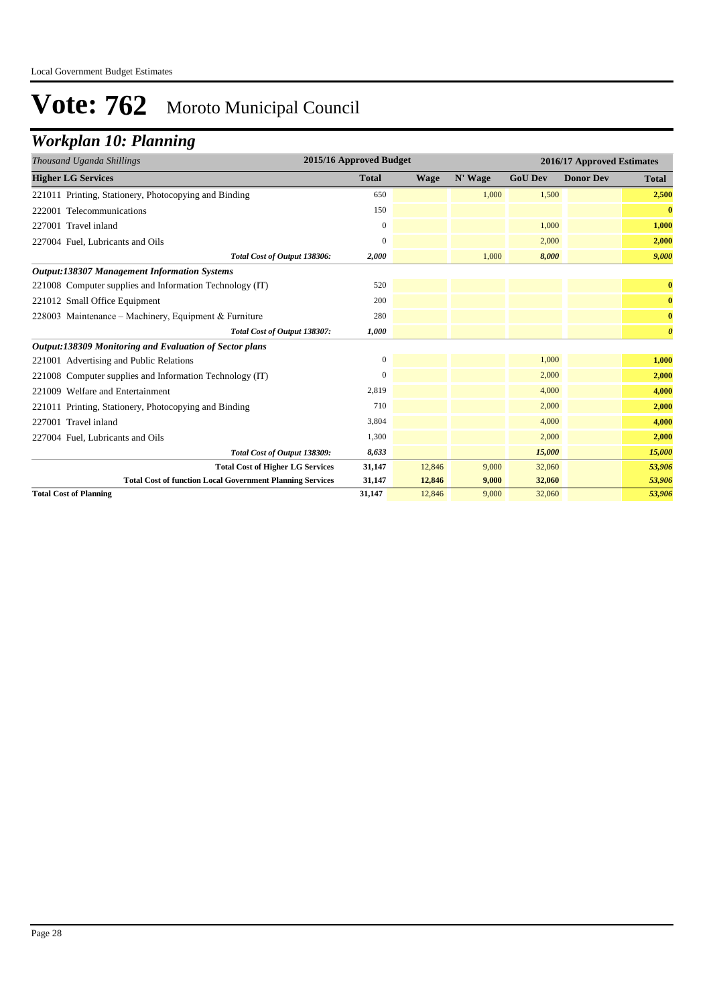## *Workplan 10: Planning*

| Thousand Uganda Shillings                                        | 2015/16 Approved Budget |             |         |                | 2016/17 Approved Estimates |                       |
|------------------------------------------------------------------|-------------------------|-------------|---------|----------------|----------------------------|-----------------------|
| <b>Higher LG Services</b>                                        | <b>Total</b>            | <b>Wage</b> | N' Wage | <b>GoU Dev</b> | <b>Donor Dev</b>           | <b>Total</b>          |
| 221011 Printing, Stationery, Photocopying and Binding            | 650                     |             | 1.000   | 1,500          |                            | 2,500                 |
| 222001 Telecommunications                                        | 150                     |             |         |                |                            | $\bf{0}$              |
| 227001 Travel inland                                             | $\mathbf{0}$            |             |         | 1,000          |                            | 1,000                 |
| 227004 Fuel, Lubricants and Oils                                 | $\Omega$                |             |         | 2,000          |                            | 2,000                 |
| Total Cost of Output 138306:                                     | 2,000                   |             | 1,000   | 8,000          |                            | 9,000                 |
| <b>Output:138307 Management Information Systems</b>              |                         |             |         |                |                            |                       |
| 221008 Computer supplies and Information Technology (IT)         | 520                     |             |         |                |                            | $\bf{0}$              |
| 221012 Small Office Equipment                                    | 200                     |             |         |                |                            | $\bf{0}$              |
| 228003 Maintenance – Machinery, Equipment & Furniture            | 280                     |             |         |                |                            | $\bf{0}$              |
| Total Cost of Output 138307:                                     | 1,000                   |             |         |                |                            | $\boldsymbol{\theta}$ |
| Output:138309 Monitoring and Evaluation of Sector plans          |                         |             |         |                |                            |                       |
| 221001 Advertising and Public Relations                          | $\mathbf{0}$            |             |         | 1,000          |                            | 1,000                 |
| 221008 Computer supplies and Information Technology (IT)         | $\mathbf{0}$            |             |         | 2,000          |                            | 2,000                 |
| 221009 Welfare and Entertainment                                 | 2,819                   |             |         | 4,000          |                            | 4,000                 |
| 221011 Printing, Stationery, Photocopying and Binding            | 710                     |             |         | 2,000          |                            | 2,000                 |
| 227001 Travel inland                                             | 3,804                   |             |         | 4,000          |                            | 4,000                 |
| 227004 Fuel, Lubricants and Oils                                 | 1,300                   |             |         | 2,000          |                            | 2,000                 |
| Total Cost of Output 138309:                                     | 8,633                   |             |         | 15,000         |                            | 15,000                |
| <b>Total Cost of Higher LG Services</b>                          | 31,147                  | 12,846      | 9,000   | 32,060         |                            | 53,906                |
| <b>Total Cost of function Local Government Planning Services</b> | 31,147                  | 12,846      | 9,000   | 32,060         |                            | 53,906                |
| <b>Total Cost of Planning</b>                                    | 31,147                  | 12,846      | 9,000   | 32,060         |                            | 53,906                |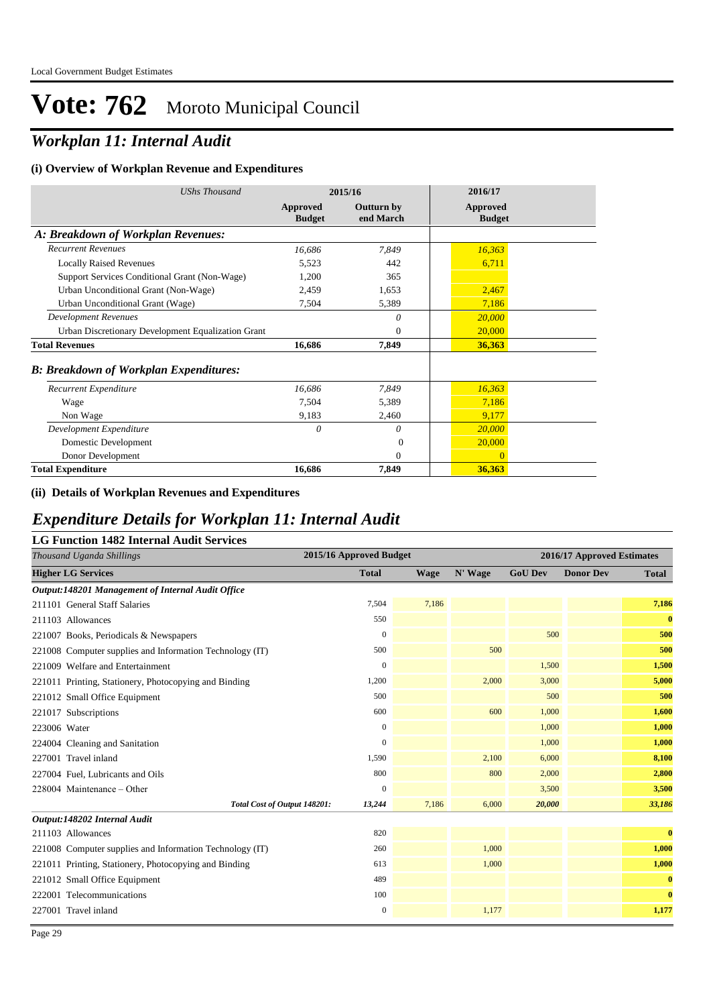## *Workplan 11: Internal Audit*

#### **(i) Overview of Workplan Revenue and Expenditures**

| <b>UShs Thousand</b>                               | 2015/16                   |                                | 2016/17                   |  |
|----------------------------------------------------|---------------------------|--------------------------------|---------------------------|--|
|                                                    | Approved<br><b>Budget</b> | <b>Outturn by</b><br>end March | Approved<br><b>Budget</b> |  |
| A: Breakdown of Workplan Revenues:                 |                           |                                |                           |  |
| <b>Recurrent Revenues</b>                          | 16,686                    | 7,849                          | 16,363                    |  |
| <b>Locally Raised Revenues</b>                     | 5,523                     | 442                            | 6,711                     |  |
| Support Services Conditional Grant (Non-Wage)      | 1,200                     | 365                            |                           |  |
| Urban Unconditional Grant (Non-Wage)               | 2,459                     | 1,653                          | 2,467                     |  |
| Urban Unconditional Grant (Wage)                   | 7,504                     | 5,389                          | 7,186                     |  |
| <b>Development Revenues</b>                        |                           | 0                              | 20,000                    |  |
| Urban Discretionary Development Equalization Grant |                           | $\theta$                       | 20,000                    |  |
| <b>Total Revenues</b>                              | 16,686                    | 7,849                          | 36,363                    |  |
| <b>B: Breakdown of Workplan Expenditures:</b>      |                           |                                |                           |  |
| Recurrent Expenditure                              | 16,686                    | 7,849                          | 16,363                    |  |
| Wage                                               | 7,504                     | 5,389                          | 7,186                     |  |
| Non Wage                                           | 9,183                     | 2,460                          | 9,177                     |  |
| Development Expenditure                            | 0                         | $\theta$                       | 20,000                    |  |
| Domestic Development                               |                           | $\Omega$                       | 20,000                    |  |
| Donor Development                                  |                           | $\Omega$                       | $\overline{0}$            |  |
| <b>Total Expenditure</b>                           | 16,686                    | 7,849                          | 36,363                    |  |

#### **(ii) Details of Workplan Revenues and Expenditures**

### *Expenditure Details for Workplan 11: Internal Audit*

| 2015/16 Approved Budget<br>Thousand Uganda Shillings<br>2016/17 Approved Estimates<br><b>GoU Dev</b><br><b>Donor Dev</b><br><b>Higher LG Services</b><br><b>Total</b><br>N' Wage<br><b>Wage</b><br><b>Total</b><br>Output:148201 Management of Internal Audit Office<br>7,186<br>7,504<br>7,186<br>211101 General Staff Salaries<br>$\bf{0}$<br>550<br>211103 Allowances<br>500<br>$\mathbf{0}$<br>500<br>221007 Books, Periodicals & Newspapers<br>500<br>500<br>500<br>221008 Computer supplies and Information Technology (IT)<br>1,500<br>221009 Welfare and Entertainment<br>$\mathbf{0}$<br>1,500<br>5,000<br>1,200<br>2,000<br>3,000<br>221011 Printing, Stationery, Photocopying and Binding<br>500<br>500<br>500<br>221012 Small Office Equipment<br>600<br>600<br>1,600<br>1,000<br>221017 Subscriptions<br>1,000<br>$\mathbf{0}$<br>223006 Water<br>1,000<br>1,000<br>$\mathbf{0}$<br>1,000<br>224004 Cleaning and Sanitation<br>8,100<br>2,100<br>227001 Travel inland<br>1,590<br>6,000<br>800<br>800<br>2,000<br>2,800<br>227004 Fuel, Lubricants and Oils<br>$\mathbf{0}$<br>3,500<br>3,500<br>228004 Maintenance - Other<br>33,186<br>Total Cost of Output 148201:<br>7,186<br>6,000<br>20,000<br>13,244<br>Output:148202 Internal Audit<br>820<br>$\bf{0}$<br>211103 Allowances<br>1,000<br>260<br>1,000<br>221008 Computer supplies and Information Technology (IT)<br>1,000<br>1,000<br>221011 Printing, Stationery, Photocopying and Binding<br>613<br>$\bf{0}$<br>489<br>221012 Small Office Equipment<br>$\bf{0}$<br>100<br>222001 Telecommunications<br>1,177<br>1,177<br>227001 Travel inland<br>$\mathbf{0}$ | <b>LG Function 1482 Internal Audit Services</b> |  |  |  |  |
|---------------------------------------------------------------------------------------------------------------------------------------------------------------------------------------------------------------------------------------------------------------------------------------------------------------------------------------------------------------------------------------------------------------------------------------------------------------------------------------------------------------------------------------------------------------------------------------------------------------------------------------------------------------------------------------------------------------------------------------------------------------------------------------------------------------------------------------------------------------------------------------------------------------------------------------------------------------------------------------------------------------------------------------------------------------------------------------------------------------------------------------------------------------------------------------------------------------------------------------------------------------------------------------------------------------------------------------------------------------------------------------------------------------------------------------------------------------------------------------------------------------------------------------------------------------------------------------------------------------------------------------|-------------------------------------------------|--|--|--|--|
|                                                                                                                                                                                                                                                                                                                                                                                                                                                                                                                                                                                                                                                                                                                                                                                                                                                                                                                                                                                                                                                                                                                                                                                                                                                                                                                                                                                                                                                                                                                                                                                                                                       |                                                 |  |  |  |  |
|                                                                                                                                                                                                                                                                                                                                                                                                                                                                                                                                                                                                                                                                                                                                                                                                                                                                                                                                                                                                                                                                                                                                                                                                                                                                                                                                                                                                                                                                                                                                                                                                                                       |                                                 |  |  |  |  |
|                                                                                                                                                                                                                                                                                                                                                                                                                                                                                                                                                                                                                                                                                                                                                                                                                                                                                                                                                                                                                                                                                                                                                                                                                                                                                                                                                                                                                                                                                                                                                                                                                                       |                                                 |  |  |  |  |
|                                                                                                                                                                                                                                                                                                                                                                                                                                                                                                                                                                                                                                                                                                                                                                                                                                                                                                                                                                                                                                                                                                                                                                                                                                                                                                                                                                                                                                                                                                                                                                                                                                       |                                                 |  |  |  |  |
|                                                                                                                                                                                                                                                                                                                                                                                                                                                                                                                                                                                                                                                                                                                                                                                                                                                                                                                                                                                                                                                                                                                                                                                                                                                                                                                                                                                                                                                                                                                                                                                                                                       |                                                 |  |  |  |  |
|                                                                                                                                                                                                                                                                                                                                                                                                                                                                                                                                                                                                                                                                                                                                                                                                                                                                                                                                                                                                                                                                                                                                                                                                                                                                                                                                                                                                                                                                                                                                                                                                                                       |                                                 |  |  |  |  |
|                                                                                                                                                                                                                                                                                                                                                                                                                                                                                                                                                                                                                                                                                                                                                                                                                                                                                                                                                                                                                                                                                                                                                                                                                                                                                                                                                                                                                                                                                                                                                                                                                                       |                                                 |  |  |  |  |
|                                                                                                                                                                                                                                                                                                                                                                                                                                                                                                                                                                                                                                                                                                                                                                                                                                                                                                                                                                                                                                                                                                                                                                                                                                                                                                                                                                                                                                                                                                                                                                                                                                       |                                                 |  |  |  |  |
|                                                                                                                                                                                                                                                                                                                                                                                                                                                                                                                                                                                                                                                                                                                                                                                                                                                                                                                                                                                                                                                                                                                                                                                                                                                                                                                                                                                                                                                                                                                                                                                                                                       |                                                 |  |  |  |  |
|                                                                                                                                                                                                                                                                                                                                                                                                                                                                                                                                                                                                                                                                                                                                                                                                                                                                                                                                                                                                                                                                                                                                                                                                                                                                                                                                                                                                                                                                                                                                                                                                                                       |                                                 |  |  |  |  |
|                                                                                                                                                                                                                                                                                                                                                                                                                                                                                                                                                                                                                                                                                                                                                                                                                                                                                                                                                                                                                                                                                                                                                                                                                                                                                                                                                                                                                                                                                                                                                                                                                                       |                                                 |  |  |  |  |
|                                                                                                                                                                                                                                                                                                                                                                                                                                                                                                                                                                                                                                                                                                                                                                                                                                                                                                                                                                                                                                                                                                                                                                                                                                                                                                                                                                                                                                                                                                                                                                                                                                       |                                                 |  |  |  |  |
|                                                                                                                                                                                                                                                                                                                                                                                                                                                                                                                                                                                                                                                                                                                                                                                                                                                                                                                                                                                                                                                                                                                                                                                                                                                                                                                                                                                                                                                                                                                                                                                                                                       |                                                 |  |  |  |  |
|                                                                                                                                                                                                                                                                                                                                                                                                                                                                                                                                                                                                                                                                                                                                                                                                                                                                                                                                                                                                                                                                                                                                                                                                                                                                                                                                                                                                                                                                                                                                                                                                                                       |                                                 |  |  |  |  |
|                                                                                                                                                                                                                                                                                                                                                                                                                                                                                                                                                                                                                                                                                                                                                                                                                                                                                                                                                                                                                                                                                                                                                                                                                                                                                                                                                                                                                                                                                                                                                                                                                                       |                                                 |  |  |  |  |
|                                                                                                                                                                                                                                                                                                                                                                                                                                                                                                                                                                                                                                                                                                                                                                                                                                                                                                                                                                                                                                                                                                                                                                                                                                                                                                                                                                                                                                                                                                                                                                                                                                       |                                                 |  |  |  |  |
|                                                                                                                                                                                                                                                                                                                                                                                                                                                                                                                                                                                                                                                                                                                                                                                                                                                                                                                                                                                                                                                                                                                                                                                                                                                                                                                                                                                                                                                                                                                                                                                                                                       |                                                 |  |  |  |  |
|                                                                                                                                                                                                                                                                                                                                                                                                                                                                                                                                                                                                                                                                                                                                                                                                                                                                                                                                                                                                                                                                                                                                                                                                                                                                                                                                                                                                                                                                                                                                                                                                                                       |                                                 |  |  |  |  |
|                                                                                                                                                                                                                                                                                                                                                                                                                                                                                                                                                                                                                                                                                                                                                                                                                                                                                                                                                                                                                                                                                                                                                                                                                                                                                                                                                                                                                                                                                                                                                                                                                                       |                                                 |  |  |  |  |
|                                                                                                                                                                                                                                                                                                                                                                                                                                                                                                                                                                                                                                                                                                                                                                                                                                                                                                                                                                                                                                                                                                                                                                                                                                                                                                                                                                                                                                                                                                                                                                                                                                       |                                                 |  |  |  |  |
|                                                                                                                                                                                                                                                                                                                                                                                                                                                                                                                                                                                                                                                                                                                                                                                                                                                                                                                                                                                                                                                                                                                                                                                                                                                                                                                                                                                                                                                                                                                                                                                                                                       |                                                 |  |  |  |  |
|                                                                                                                                                                                                                                                                                                                                                                                                                                                                                                                                                                                                                                                                                                                                                                                                                                                                                                                                                                                                                                                                                                                                                                                                                                                                                                                                                                                                                                                                                                                                                                                                                                       |                                                 |  |  |  |  |
|                                                                                                                                                                                                                                                                                                                                                                                                                                                                                                                                                                                                                                                                                                                                                                                                                                                                                                                                                                                                                                                                                                                                                                                                                                                                                                                                                                                                                                                                                                                                                                                                                                       |                                                 |  |  |  |  |
|                                                                                                                                                                                                                                                                                                                                                                                                                                                                                                                                                                                                                                                                                                                                                                                                                                                                                                                                                                                                                                                                                                                                                                                                                                                                                                                                                                                                                                                                                                                                                                                                                                       |                                                 |  |  |  |  |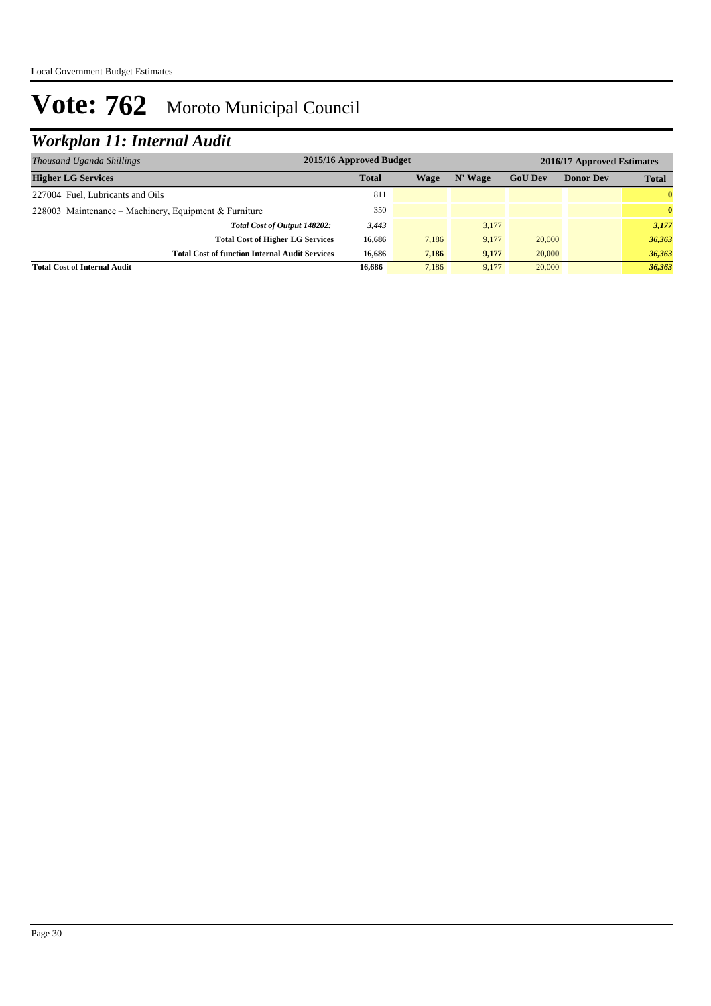## *Workplan 11: Internal Audit*

| Thousand Uganda Shillings                             | 2015/16 Approved Budget<br>2016/17 Approved Estimates |       |         |                |                  |              |
|-------------------------------------------------------|-------------------------------------------------------|-------|---------|----------------|------------------|--------------|
| <b>Higher LG Services</b>                             | <b>Total</b>                                          | Wage  | N' Wage | <b>GoU Dev</b> | <b>Donor Dev</b> | <b>Total</b> |
| 227004 Fuel, Lubricants and Oils                      | 811                                                   |       |         |                |                  | $\bf{0}$     |
| 228003 Maintenance – Machinery, Equipment & Furniture | 350                                                   |       |         |                |                  | $\mathbf{0}$ |
| Total Cost of Output 148202:                          | 3,443                                                 |       | 3.177   |                |                  | 3,177        |
| <b>Total Cost of Higher LG Services</b>               | 16.686                                                | 7,186 | 9.177   | 20,000         |                  | 36,363       |
| <b>Total Cost of function Internal Audit Services</b> | 16.686                                                | 7,186 | 9,177   | 20,000         |                  | 36,363       |
| <b>Total Cost of Internal Audit</b>                   | 16.686                                                | 7.186 | 9.177   | 20,000         |                  | 36.363       |